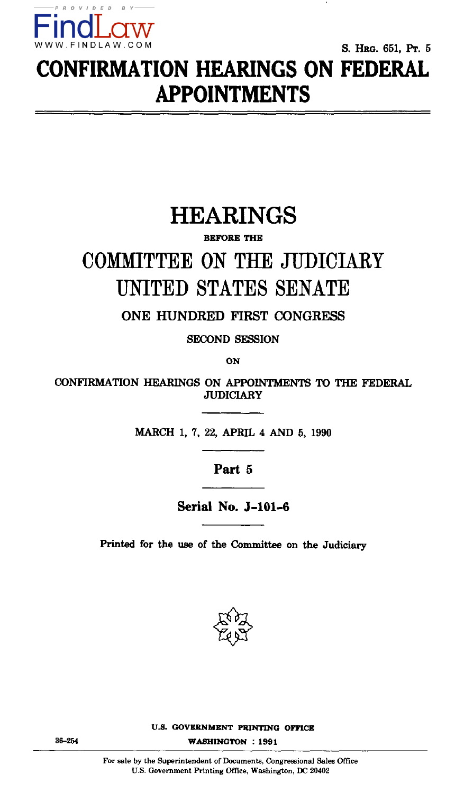

**S. HRG. 651, Pr. 5 CONFIRMATION HEARINGS ON FEDERAL APPOINTMENTS** 

# **HEARINGS**

#### **BEFORE THE**

# COMMITTEE ON THE JUDICIAEY UNITED STATES SENATE

**ONE HUNDRED FIRST CONGRESS** 

**SECOND SESSION** 

**ON** 

**CONFIRMATION HEARINGS ON APPOINTMENTS TO THE FEDERAL JUDICIARY** 

**MARCH 1, 7, 22, APRIL 4 AND 5, 1990** 

**Part 5** 

**Serial No. J-101-6** 

**Printed for the use of the Committee on the Judiciary** 



**36-254 WASHINGTON : 1991**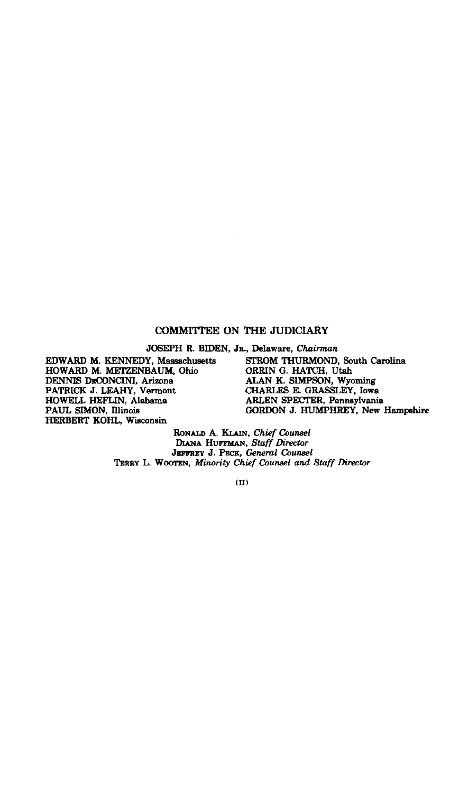#### **COMMITTEE ON THE JUDICIARY**

**JOSEPH R. BroEN, JR., Delaware,** *Chairman* 

**EDWARD M. KENNEDY, Massachusetts HOWARD M. METZENBAUM, Ohio**  DENNIS DECONCINI, Arizona<br>PATRICK J. LEAHY, Vermont **HOWELL HEFLIN, Alabama PAUL SIMON, Illinois HERBERT KOHL, Wisconsin** 

**STROM THURMOND, South Carolina ORRIN G. HATCH, Utah ALAN K. SIMPSON, Wyoming CHARLES E. GRASSLEY, Iowa ARLEN SPECTER, Pennsylvania GORDON J. HUMPHREY, New Hampshire** 

**RONALD A. KLAIN,** *Chief Counsel*  **DIANA HUFFMAN,** *Staff Director*  **JEFFREY J. PECK,** *General Counsel*  **TERRY L. WOOTEN,** *Minority Chief Counsel and Staff Director* 

**(II)**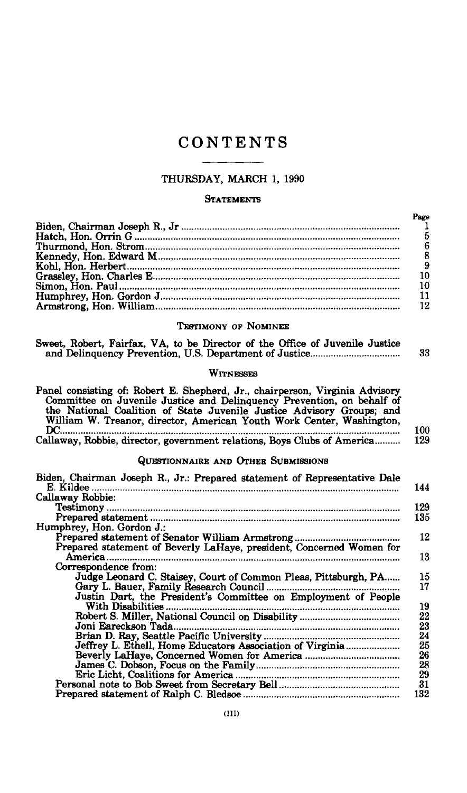# **CONTENTS**

#### THURSDAY, MARCH 1, 1990

#### **STATEMENTS**

| Page |
|------|
|      |
|      |
|      |
|      |
|      |
|      |
| 10   |
|      |
| 12   |
|      |
|      |

#### TESTIMONY OF NOMINEE

| Sweet, Robert, Fairfax, VA, to be Director of the Office of Juvenile Justice |    |
|------------------------------------------------------------------------------|----|
|                                                                              | 33 |
|                                                                              |    |

#### **WITNESSES**

| Panel consisting of: Robert E. Shepherd, Jr., chairperson, Virginia Advisory<br>Committee on Juvenile Justice and Delinquency Prevention, on behalf of<br>the National Coalition of State Juvenile Justice Advisory Groups; and<br>William W. Treanor, director, American Youth Work Center, Washington,<br>DC | 100        |
|----------------------------------------------------------------------------------------------------------------------------------------------------------------------------------------------------------------------------------------------------------------------------------------------------------------|------------|
| Callaway, Robbie, director, government relations, Boys Clubs of America                                                                                                                                                                                                                                        | 129        |
| QUESTIONNAIRE AND OTHER SUBMISSIONS                                                                                                                                                                                                                                                                            |            |
| Biden, Chairman Joseph R., Jr.: Prepared statement of Representative Dale                                                                                                                                                                                                                                      | 144        |
| Callaway Robbie:                                                                                                                                                                                                                                                                                               |            |
|                                                                                                                                                                                                                                                                                                                | 129<br>135 |
| Humphrey, Hon. Gordon J.:                                                                                                                                                                                                                                                                                      |            |
|                                                                                                                                                                                                                                                                                                                | 12         |
| Prepared statement of Beverly LaHaye, president, Concerned Women for                                                                                                                                                                                                                                           |            |
| America                                                                                                                                                                                                                                                                                                        | 13         |
| Correspondence from:                                                                                                                                                                                                                                                                                           |            |
| Judge Leonard C. Staisey, Court of Common Pleas, Pittsburgh, PA                                                                                                                                                                                                                                                | 15<br>17   |
| Justin Dart, the President's Committee on Employment of People                                                                                                                                                                                                                                                 |            |
| With Disabilities .                                                                                                                                                                                                                                                                                            | 19         |
|                                                                                                                                                                                                                                                                                                                | 22         |
| Joni Eareckson Tada.                                                                                                                                                                                                                                                                                           | 23         |
|                                                                                                                                                                                                                                                                                                                | 24         |
| Jeffrey L. Ethell, Home Educators Association of Virginia                                                                                                                                                                                                                                                      | 25         |
|                                                                                                                                                                                                                                                                                                                | 26         |
|                                                                                                                                                                                                                                                                                                                | 28         |
|                                                                                                                                                                                                                                                                                                                | 29         |
|                                                                                                                                                                                                                                                                                                                | 31         |
|                                                                                                                                                                                                                                                                                                                | 132        |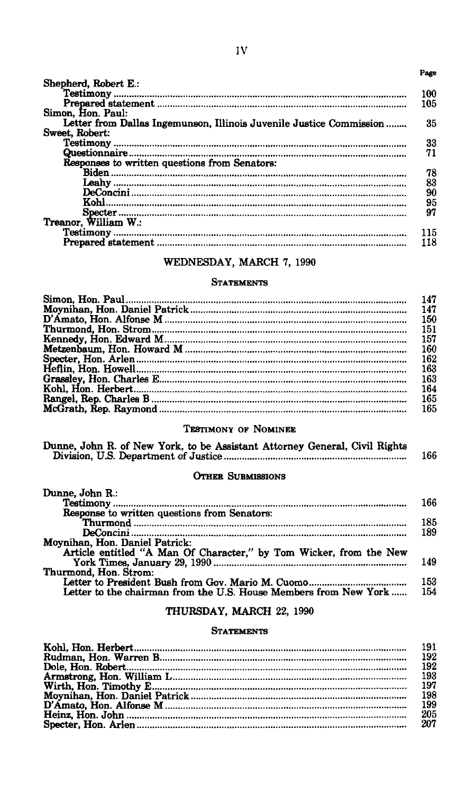#### **Page**

| Shepherd, Robert E.:                                                |     |
|---------------------------------------------------------------------|-----|
|                                                                     | -00 |
|                                                                     | 105 |
| Simon. Hon. Paul:                                                   |     |
| Letter from Dallas Ingemunson, Illinois Juvenile Justice Commission | 35  |
| Sweet, Robert:                                                      |     |
|                                                                     | 33  |
|                                                                     | 71  |
| Responses to written questions from Senators:                       |     |
|                                                                     | 78  |
|                                                                     | 83  |
|                                                                     | 90  |
| Kohl.                                                               | 95  |
|                                                                     | 97  |
| Treanor, William W.:                                                |     |
|                                                                     | 15  |
|                                                                     | 18  |
|                                                                     |     |

#### Testimony 115 (1991) and 115 (1991) and 115 (1991) and 115 (1991) and 115 (1991) and 115 (1991) and 115 (1991) STATEMENTS

| 147<br>150 |
|------------|
|            |
|            |
| 151        |
| 157        |
| 160        |
| 162        |
| 163        |
| 163        |
| 164        |
| 165        |
| 165        |

#### $\mathbb{F}_{\mathbb{G}}$  is the set of  $\mathbb{G}$  163  $\mathbb{G}$  163  $\mathbb{G}$  163  $\mathbb{G}$  163  $\mathbb{G}$  163  $\mathbb{G}$  163  $\mathbb{G}$  163  $\mathbb{G}$  163  $\mathbb{G}$  163  $\mathbb{G}$  163  $\mathbb{G}$  163  $\mathbb{G}$  163  $\mathbb{G}$  163  $\mathbb{G}$  163  $\mathbb{G}$  1 TESHWONX OR LIOMINEE

| Dunne, John R. of New York, to be Assistant Attorney General, Civil Rights |     |
|----------------------------------------------------------------------------|-----|
|                                                                            | 166 |

#### OTHER SUBMISSIONS OTHER DUBMISSIONS

| Dunne, John R.:                                                    |     |
|--------------------------------------------------------------------|-----|
|                                                                    | 166 |
| Response to written questions from Senators:                       |     |
|                                                                    | 185 |
|                                                                    | 189 |
| Moynihan, Hon. Daniel Patrick:                                     |     |
| Article entitled "A Man Of Character," by Tom Wicker, from the New |     |
|                                                                    | 149 |
| Thurmond, Hon. Strom:                                              |     |
|                                                                    | 153 |
| Letter to the chairman from the U.S. House Members from New York   | 154 |

### THURSDAY, MARCH 22, 1990

#### STATEMENTS

| 205 |
|-----|
| 207 |
|     |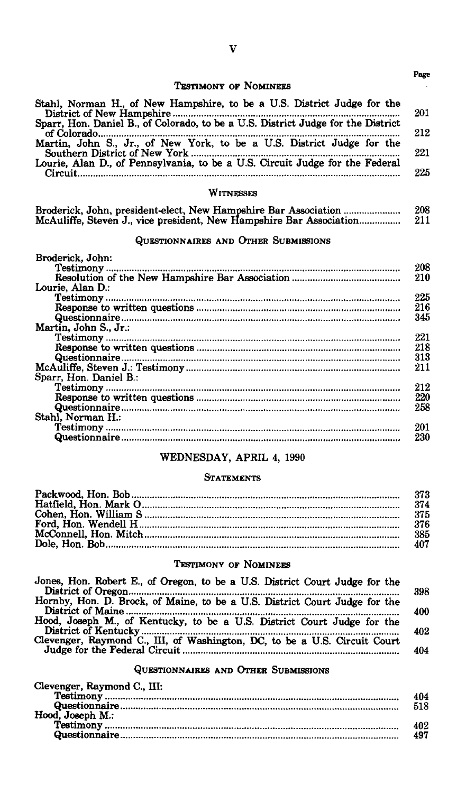#### **TESTIMONY OF NOMINEES**

**Page** 

| Stahl, Norman H., of New Hampshire, to be a U.S. District Judge for the      | 201 |
|------------------------------------------------------------------------------|-----|
|                                                                              |     |
|                                                                              | 212 |
| Martin, John S., Jr., of New York, to be a U.S. District Judge for the       |     |
|                                                                              | 221 |
| Lourie, Alan D., of Pennsylvania, to be a U.S. Circuit Judge for the Federal |     |
|                                                                              | 225 |

**WITNESSES** 

|                                                                     | 208 |
|---------------------------------------------------------------------|-----|
| McAuliffe, Steven J., vice president, New Hampshire Bar Association | 211 |

#### **QUESTIONNAIRES AND OTHER SUBMISSIONS**

| Broderick. John:                                                                          |     |
|-------------------------------------------------------------------------------------------|-----|
|                                                                                           | 208 |
|                                                                                           | 210 |
| Lourie, Alan D.:                                                                          |     |
|                                                                                           | 225 |
|                                                                                           | 216 |
|                                                                                           | 345 |
| Martin, John S., Jr.:                                                                     |     |
|                                                                                           | 221 |
|                                                                                           | 218 |
| ${\bf \overbrace{Response~to~written~questions~}.}.\\ {\bf \overbrace{Questionnaire}}.$   | 313 |
|                                                                                           | 211 |
| Sparr, Hon. Daniel B.:                                                                    |     |
|                                                                                           | 212 |
|                                                                                           | 220 |
| ${\bf \overbrace{Response~to~written~questions~}.}.}$ ${\bf \overbrace{Questionnaire}.}.$ | 258 |
| Stahl. Norman H.:                                                                         |     |
|                                                                                           | 201 |
|                                                                                           | 230 |
|                                                                                           |     |

#### **Testimony 201**   $W$ **EDINESDAT**, APRIL 4,  $1990$

# $$

#### **TESTIMONY OF NOMINEES**

| Jones, Hon. Robert E., of Oregon, to be a U.S. District Court Judge for the |     |
|-----------------------------------------------------------------------------|-----|
|                                                                             | 398 |
| Hornby, Hon. D. Brock, of Maine, to be a U.S. District Court Judge for the  |     |
|                                                                             | 400 |
| Hood, Joseph M., of Kentucky, to be a U.S. District Court Judge for the     |     |
|                                                                             | 402 |
| Clevenger, Raymond C., III, of Washington, DC, to be a U.S. Circuit Court   |     |
|                                                                             | 404 |
|                                                                             |     |

# **Judge for the Federal Circuit 404 QUESTIONNAIRES AND OTHER SUBMISSIONS**

| Clevenger, Raymond C., III: |     |
|-----------------------------|-----|
|                             | 404 |
|                             | 518 |
| Hood, Joseph M.:            |     |
|                             | 402 |
|                             | 497 |
|                             |     |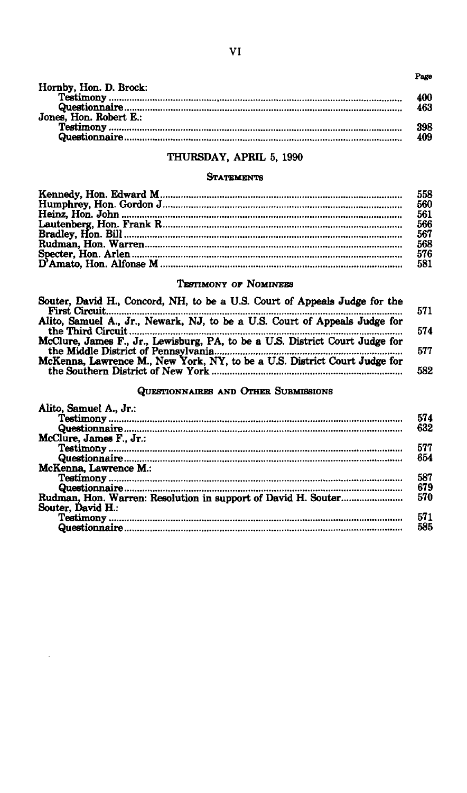**Page** 

| 463                    |  |
|------------------------|--|
| Jones. Hon. Robert E.: |  |
| 398                    |  |
| 409                    |  |

#### **QUESTIONAV ADDIT E 1000 THURSDAY, APRIL 5, 1990**

#### **STATEMENTS**

| 558 |
|-----|
| 560 |
|     |
|     |
|     |
|     |
|     |
| 581 |
|     |

#### **TESTIMONY OF NOMINEES**

| Souter, David H., Concord, NH, to be a U.S. Court of Appeals Judge for the   |
|------------------------------------------------------------------------------|
| Alito, Samuel A., Jr., Newark, NJ, to be a U.S. Court of Appeals Judge for   |
| McClure, James F., Jr., Lewisburg, PA, to be a U.S. District Court Judge for |
| McKenna, Lawrence M., New York, NY, to be a U.S. District Court Judge for    |
|                                                                              |

#### **QUESTIONNAIRES AND OTHER SUBMISSIONS**

| Alito, Samuel A., Jr.:                                                                                                                                                                                                                                                                                           |     |
|------------------------------------------------------------------------------------------------------------------------------------------------------------------------------------------------------------------------------------------------------------------------------------------------------------------|-----|
|                                                                                                                                                                                                                                                                                                                  | 574 |
|                                                                                                                                                                                                                                                                                                                  | 632 |
| McClure. James F., Jr.:                                                                                                                                                                                                                                                                                          |     |
|                                                                                                                                                                                                                                                                                                                  | 577 |
| ${\bf Testimony}\,\, {} \,\, {} \,\, {} \,\, {} \,\, {} \,\, {} \,\, {} \,\, {} \,\, {} \,\, {} \,\, {} \,\, {} \,\, {} \,\, {} \,\, {} \,\, {} \,\, {} \,\, {} \,\, {} \,\, {} \,\, {} \,\, {} \,\, {} \,\, {} \,\, {} \,\, {} \,\, {} \,\, {} \,\, {} \,\, {} \,\, {} \,\, {} \,\, {} \,\, {} \,\, {} \,\, {}$ | 654 |
| McKenna. Lawrence M.:                                                                                                                                                                                                                                                                                            |     |
|                                                                                                                                                                                                                                                                                                                  | 587 |
|                                                                                                                                                                                                                                                                                                                  | 679 |
|                                                                                                                                                                                                                                                                                                                  | 570 |
| Souter, David H.:                                                                                                                                                                                                                                                                                                |     |
|                                                                                                                                                                                                                                                                                                                  | 571 |
|                                                                                                                                                                                                                                                                                                                  | 585 |
|                                                                                                                                                                                                                                                                                                                  |     |

 $\overline{\phantom{a}}$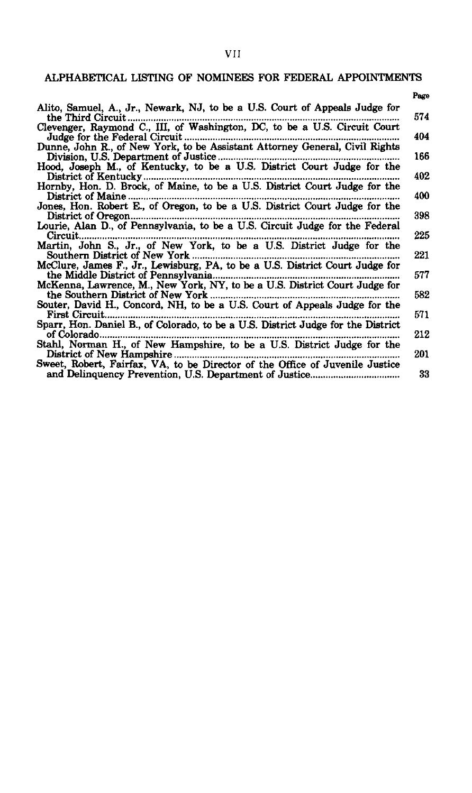#### VII

#### ALPHABETICAL LISTING OF NOMINEES FOR FEDERAL APPOINTMENTS

| Alito, Samuel, A., Jr., Newark, NJ, to be a U.S. Court of Appeals Judge for<br>the Third Circuit                                       |
|----------------------------------------------------------------------------------------------------------------------------------------|
| Clevenger, Raymond C., III, of Washington, DC, to be a U.S. Circuit Court<br>Judge for the Federal Circuit.                            |
| Dunne, John R., of New York, to be Assistant Attorney General, Civil Rights<br>Division, U.S. Department of Justice.                   |
| Hood, Joseph M., of Kentucky, to be a U.S. District Court Judge for the<br>District of Kentucky                                        |
| Hornby, Hon. D. Brock, of Maine, to be a U.S. District Court Judge for the<br>District of Maine.                                       |
| Jones, Hon. Robert E., of Oregon, to be a U.S. District Court Judge for the<br>District of Oregon                                      |
| Lourie, Alan D., of Pennsylvania, to be a U.S. Circuit Judge for the Federal<br>Circuit                                                |
| Martin, John S., Jr., of New York, to be a U.S. District Judge for the<br>Southern District of New York.                               |
| McClure, James F., Jr., Lewisburg, PA, to be a U.S. District Court Judge for<br>the Middle District of Pennsylvania                    |
| McKenna, Lawrence, M., New York, NY, to be a U.S. District Court Judge for<br>the Southern District of New York.                       |
| Souter, David H., Concord, NH, to be a U.S. Court of Appeals Judge for the<br>First Circuit.                                           |
| Sparr, Hon. Daniel B., of Colorado, to be a U.S. District Judge for the District<br>of Colorado.                                       |
| Stahl, Norman H., of New Hampshire, to be a U.S. District Judge for the<br>District of New Hampshire                                   |
| Sweet, Robert, Fairfax, VA, to be Director of the Office of Juvenile Justice<br>and Delinquency Prevention, U.S. Department of Justice |

Sparr, Hon. Daniel B., of Colorado, to be a U.S. District Judge for the District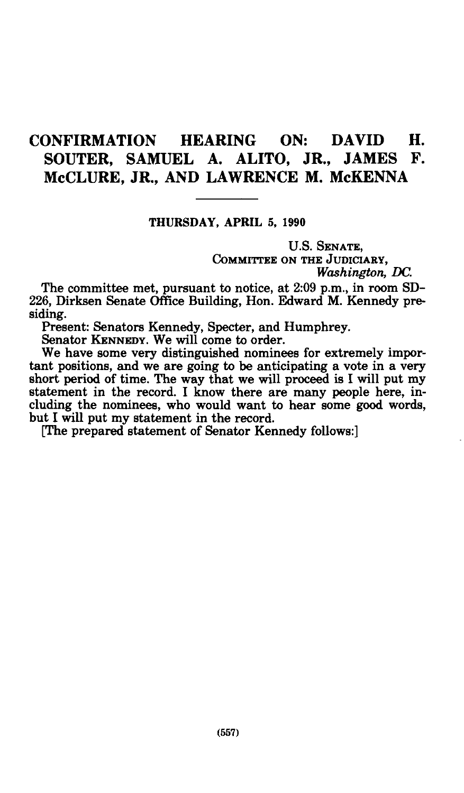## **CONFIRMATION HEARING ON: DAVID H. SOUTER, SAMUEL A. ALITO, JR., JAMES F. McCLURE, JR., AND LAWRENCE M. McKENNA**

#### **THURSDAY, APRIL 5, 1990**

U.S. SENATE, COMMITTEE ON THE JUDICIARY, *Washington, DC.* 

The committee met, pursuant to notice, at 2:09 p.m., in room SD-226, Dirksen Senate Office Building, Hon. Edward M. Kennedy presiding.

Present: Senators Kennedy, Specter, and Humphrey.

Senator KENNEDY. We will come to order.

We have some very distinguished nominees for extremely important positions, and we are going to be anticipating a vote in a very short period of time. The way that we will proceed is I will put my statement in the record. I know there are many people here, including the nominees, who would want to hear some good words, but I will put my statement in the record.

[The prepared statement of Senator Kennedy follows:]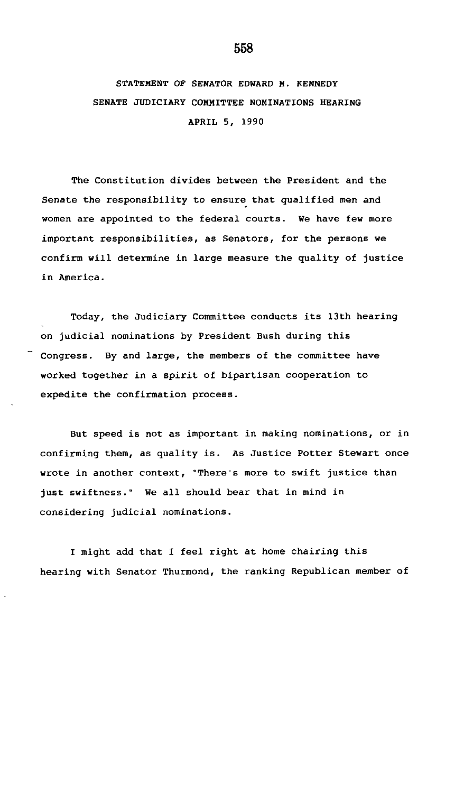## STATEMENT OF SENATOR EDWARD M. KENNEDY SENATE JUDICIARY COMMITTEE NOMINATIONS HEARING APRIL 5, 1990

The Constitution divides between the President and the Senate the responsibility to ensure that qualified men and women are appointed to the federal courts. We have few more important responsibilities, as Senators, for the persons we confirm will determine in large measure the quality of justice in America.

Today, the Judiciary Committee conducts its 13th hearing on judicial nominations by President Bush during this Congress. By and large, the members of the committee have worked together in a spirit of bipartisan cooperation to expedite the confirmation process.

But speed is not as important in making nominations, or in confirming them, as quality is. As Justice Potter Stewart once wrote in another context, "There's more to swift justice than just swiftness." We all should bear that in mind in considering judicial nominations.

I might add that I feel right at home chairing this hearing with Senator Thurmond, the ranking Republican member of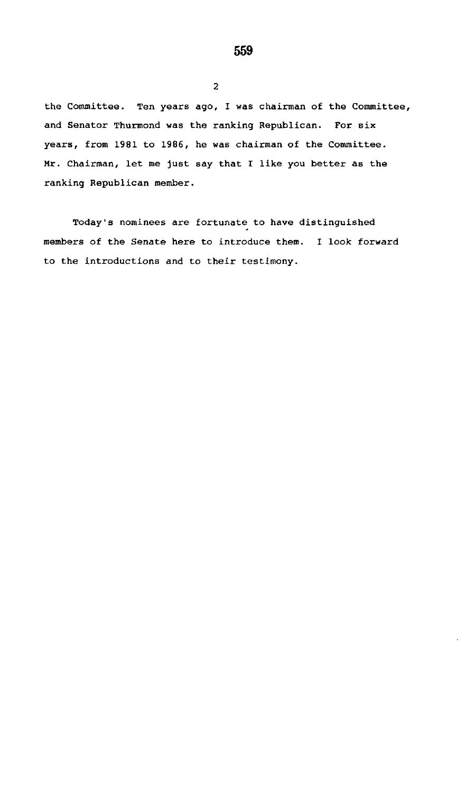the Committee. Ten years ago, I was chairman of the Committee, and Senator Thurmond was the ranking Republican. For six years, from 1981 to 1986, he was chairman of the Committee. Mr. Chairman, let me just say that I like you better as the ranking Republican member.

2

Today's nominees are fortunate to have distinguished members of the Senate here to introduce them. I look forward to the introductions and to their testimony.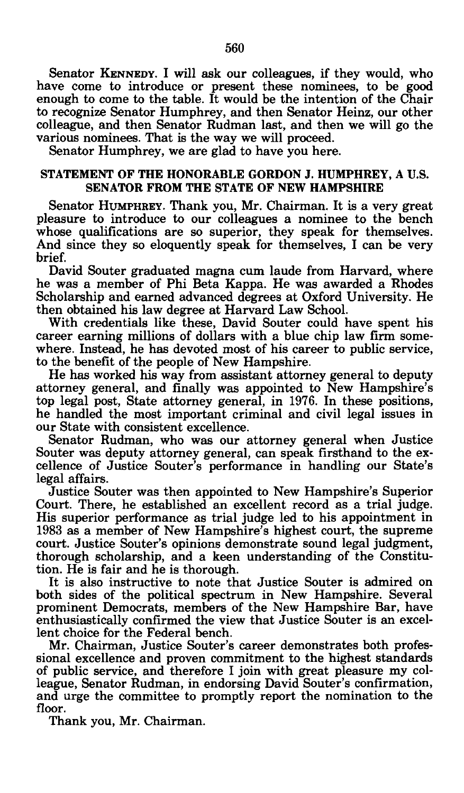Senator KENNEDY. I will ask our colleagues, if they would, who have come to introduce or present these nominees, to be good enough to come to the table. It would be the intention of the Chair to recognize Senator Humphrey, and then Senator Heinz, our other colleague, and then Senator Rudman last, and then we will go the various nominees. That is the way we will proceed.

Senator Humphrey, we are glad to have you here.

#### STATEMENT OF THE HONORABLE GORDON J. HUMPHREY, A U.S. SENATOR FROM THE STATE OF NEW HAMPSHIRE

Senator HUMPHREY. Thank you, Mr. Chairman. It is a very great pleasure to introduce to our colleagues a nominee to the bench whose qualifications are so superior, they speak for themselves. And since they so eloquently speak for themselves, I can be very brief.

David Souter graduated magna cum laude from Harvard, where he was a member of Phi Beta Kappa. He was awarded a Rhodes Scholarship and earned advanced degrees at Oxford University. He then obtained his law degree at Harvard Law School.

With credentials like these, David Souter could have spent his career earning millions of dollars with a blue chip law firm somewhere. Instead, he has devoted most of his career to public service, to the benefit of the people of New Hampshire.

He has worked his way from assistant attorney general to deputy attorney general, and finally was appointed to New Hampshire's top legal post, State attorney general, in 1976. In these positions, he handled the most important criminal and civil legal issues in our State with consistent excellence.

Senator Rudman, who was our attorney general when Justice Souter was deputy attorney general, can speak firsthand to the excellence of Justice Souter's performance in handling our State's legal affairs.

Justice Souter was then appointed to New Hampshire's Superior Court. There, he established an excellent record as a trial judge. His superior performance as trial judge led to his appointment in 1983 as a member of New Hampshire's highest court, the supreme court. Justice Souter's opinions demonstrate sound legal judgment, thorough scholarship, and a keen understanding of the Constitution. He is fair and he is thorough.

It is also instructive to note that Justice Souter is admired on both sides of the political spectrum in New Hampshire. Several prominent Democrats, members of the New Hampshire Bar, have enthusiastically confirmed the view that Justice Souter is an excellent choice for the Federal bench.

Mr. Chairman, Justice Souter's career demonstrates both professional excellence and proven commitment to the highest standards of public service, and therefore I join with great pleasure my colleague, Senator Rudman, in endorsing David Souter's confirmation, and urge the committee to promptly report the nomination to the floor.

Thank you, Mr. Chairman.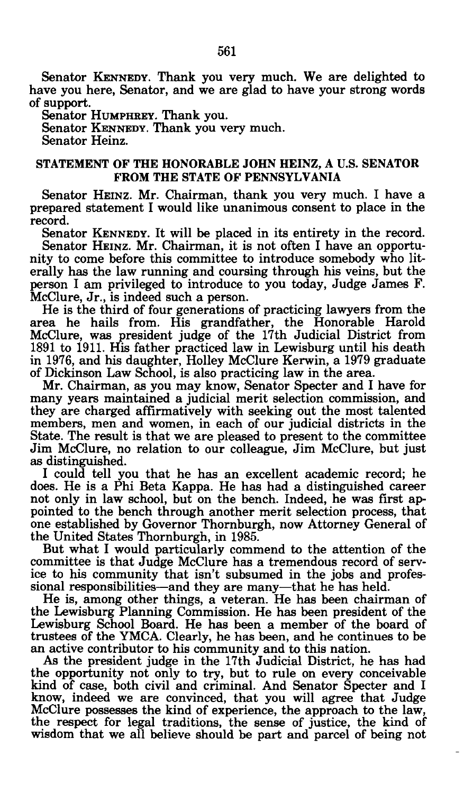Senator KENNEDY. Thank you very much. We are delighted to have you here, Senator, and we are glad to have your strong words of support.

Senator HUMPHREY. Thank you.

Senator KENNEDY. Thank you very much.

Senator Heinz.

#### STATEMENT OF THE HONORABLE JOHN HEINZ, A U.S. SENATOR FROM THE STATE OF PENNSYLVANIA

Senator HEINZ. Mr. Chairman, thank you very much. I have a prepared statement I would like unanimous consent to place in the record.

Senator KENNEDY. It will be placed in its entirety in the record. Senator HEINZ. Mr. Chairman, it is not often I have an opportunity to come before this committee to introduce somebody who literally has the law running and coursing through his veins, but the person I am privileged to introduce to you today, Judge James F. McClure, Jr., is indeed such a person.

He is the third of four generations of practicing lawyers from the area he hails from. His grandfather, the Honorable Harold McClure, was president judge of the 17th Judicial District from 1891 to 1911. His father practiced law in Lewisburg until his death in 1976, and his daughter, Holley McClure Kerwin, a 1979 graduate of Dickinson Law School, is also practicing law in the area.

Mr. Chairman, as you may know, Senator Specter and I have for many years maintained a judicial merit selection commission, and they are charged affirmatively with seeking out the most talented members, men and women, in each of our judicial districts in the State. The result is that we are pleased to present to the committee Jim McClure, no relation to our colleague, Jim McClure, but just as distinguished.

I could tell you that he has an excellent academic record; he does. He is a Phi Beta Kappa. He has had a distinguished career not only in law school, but on the bench. Indeed, he was first appointed to the bench through another merit selection process, that one established by Governor Thornburgh, now Attorney General of the United States Thornburgh, in 1985.

But what I would particularly commend to the attention of the committee is that Judge McClure has a tremendous record of service to his community that isn't subsumed in the jobs and professional responsibilities—and they are many—that he has held.

He is, among other things, a veteran. He has been chairman of the Lewisburg Planning Commission. He has been president of the Lewisburg School Board. He has been a member of the board of trustees of the YMCA. Clearly, he has been, and he continues to be an active contributor to his community and to this nation.

As the president judge in the 17th Judicial District, he has had the opportunity not only to try, but to rule on every conceivable kind of case, both civil and criminal. And Senator Specter and I know, indeed we are convinced, that you will agree that Judge McClure possesses the kind of experience, the approach to the law, the respect for legal traditions, the sense of justice, the kind of wisdom that we all believe should be part and parcel of being not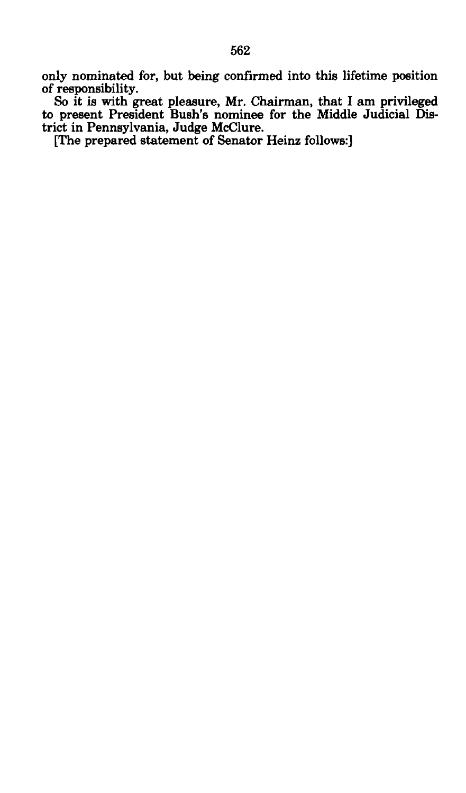only nominated for, but being confirmed into this lifetime position of responsibility.

So it is with great pleasure, Mr. Chairman, that I am privileged to present President Bush's nominee for the Middle Judicial District in Pennsylvania, Judge McClure.

[The prepared statement of Senator Heinz follows:]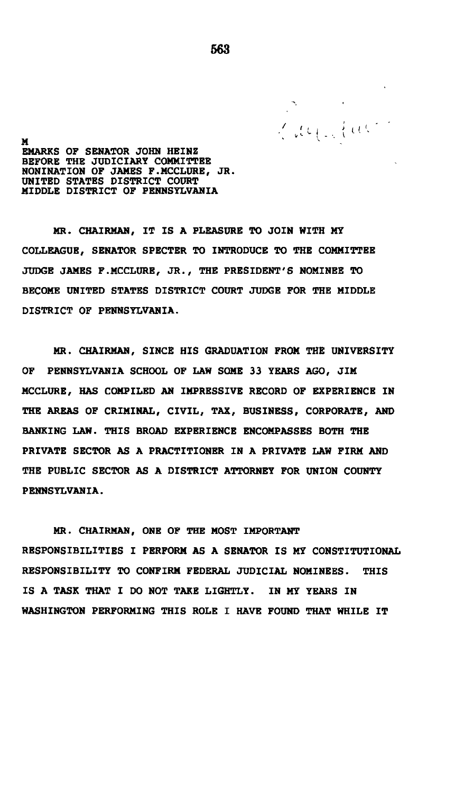**M**<br>EMARKS OF SENATOR JOHN HEINZ<br>**EMARKS** OF SENATOR JOHN HEINZ **EEFORE THE JUDICIARY COMMITTEE BONINATION OF JAMES F.MCCLURE, JR. UNITED STATES DISTRICT COURT MIDDLE DISTRICT OF PENNSYLVAN** 

**MR. CHAIRMAN, IT IS A PLEASURE TO JOIN WITH MY COLLEAGUE, SENATOR SPECTER TO INTRODUCE TO THE COMMITTEE JUDGE JAMES F.MCCLURE, JR., THE PRESIDENT'S NOMINEE TO BECOME UNITED STATES DISTRICT COURT JUDGE FOR THE MIDDLE DISTRICT OF PENNSYLVANIA.** 

**MR. CHAIRMAN, SINCE HIS GRADUATION FROM THE UNIVERSITY OF PENNSYLVANIA SCHOOL OF LAW SOME 33 YEARS AGO, JIM MCCLURE, HAS COMPILED AN IMPRESSIVE RECORD OF EXPERIENCE IN THE AREAS OF CRIMINAL, CIVIL, TAX, BUSINESS, CORPORATE, AND BANKING LAW. THIS BROAD EXPERIENCE ENCOMPASSES BOTH THE PRIVATE SECTOR AS A PRACTITIONER IN A PRIVATE LAW FIRM AND THE PUBLIC SECTOR AS A DISTRICT ATTORNEY FOR UNION COUNTY PENNSYLVANIA.** 

**MR. CHAIRMAN, ONE OF THE MOST IMPORTANT RESPONSIBILITIES I PERFORM AS A SENATOR IS MY CONSTITUTIONAL RESPONSIBILITY TO CONFIRM FEDERAL JUDICIAL NOMINEES. THIS IS A TASK THAT I DO NOT TAKE LIGHTLY. IN MY YEARS IN WASHINGTON PERFORMING THIS ROLE I HAVE FOUND THAT WHILE IT**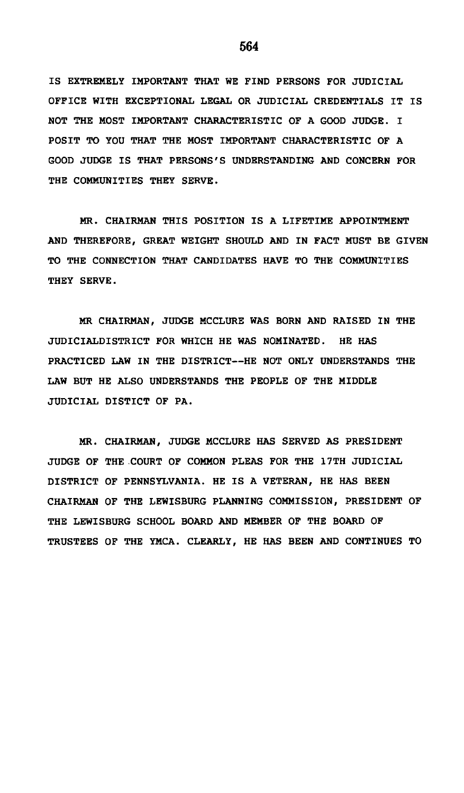IS EXTREMELY IMPORTANT THAT WE FIND PERSONS FOR JUDICIAL OFFICE WITH EXCEPTIONAL LEGAL OR JUDICIAL CREDENTIALS IT IS NOT THE MOST IMPORTANT CHARACTERISTIC OF A GOOD JUDGE. I POSIT TO YOU THAT THE MOST IMPORTANT CHARACTERISTIC OF A GOOD JUDGE IS THAT PERSONS'S UNDERSTANDING AND CONCERN FOR THE COMMUNITIES THEY SERVE.

MR. CHAIRMAN THIS POSITION IS A LIFETIME APPOINTMENT AND THEREFORE, GREAT WEIGHT SHOULD AND IN FACT MUST BE GIVEN TO THE CONNECTION THAT CANDIDATES HAVE TO THE COMMUNITIES THEY SERVE.

MR CHAIRMAN, JUDGE MCCLURE WAS BORN AND RAISED IN THE JUDICIALDISTRICT FOR WHICH HE WAS NOMINATED. HE HAS PRACTICED LAW IN THE DISTRICT—HE NOT ONLY UNDERSTANDS THE LAW BUT HE ALSO UNDERSTANDS THE PEOPLE OF THE MIDDLE JUDICIAL DISTICT OF PA.

MR. CHAIRMAN, JUDGE MCCLURE HAS SERVED AS PRESIDENT JUDGE OF THE COURT OF COMMON PLEAS FOR THE 17TH JUDICIAL DISTRICT OF PENNSYLVANIA. HE IS A VETERAN, HE HAS BEEN CHAIRMAN OF THE LEWISBURG PLANNING COMMISSION, PRESIDENT OF THE LEWISBURG SCHOOL BOARD AND MEMBER OF THE BOARD OF TRUSTEES OF THE YMCA. CLEARLY, HE HAS BEEN AND CONTINUES TO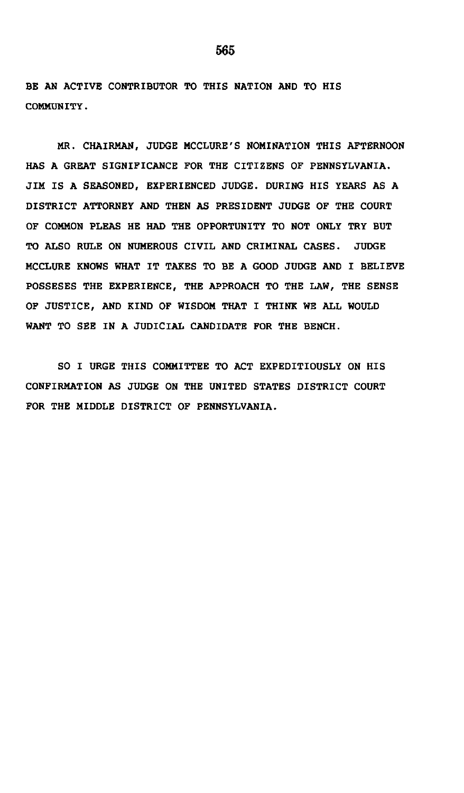BE AN ACTIVE CONTRIBUTOR TO THIS NATION AND TO HIS COMMUNITY.

MR. CHAIRMAN, JUDGE MCCLURE'S NOMINATION THIS AFTERNOON HAS A GREAT SIGNIFICANCE FOR THE CITIZENS OF PENNSYLVANIA. JIM IS A SEASONED, EXPERIENCED JUDGE. DURING HIS YEARS AS A DISTRICT ATTORNEY AND THEN AS PRESIDENT JUDGE OF THE COURT OF COMMON PLEAS HE HAD THE OPPORTUNITY TO NOT ONLY TRY BUT TO ALSO RULE ON NUMEROUS CIVIL AND CRIMINAL CASES. JUDGE MCCLURE KNOWS WHAT IT TAKES TO BE A GOOD JUDGE AND I BELIEVE POSSESES THE EXPERIENCE, THE APPROACH TO THE LAW, THE SENSE OF JUSTICE, AND KIND OF WISDOM THAT I THINK WE ALL WOULD WANT TO SEE IN A JUDICIAL CANDIDATE FOR THE BENCH.

SO I URGE THIS COMMITTEE TO ACT EXPEDITIOUSLY ON HIS CONFIRMATION AS JUDGE ON THE UNITED STATES DISTRICT COURT FOR THE MIDDLE DISTRICT OF PENNSYLVANIA.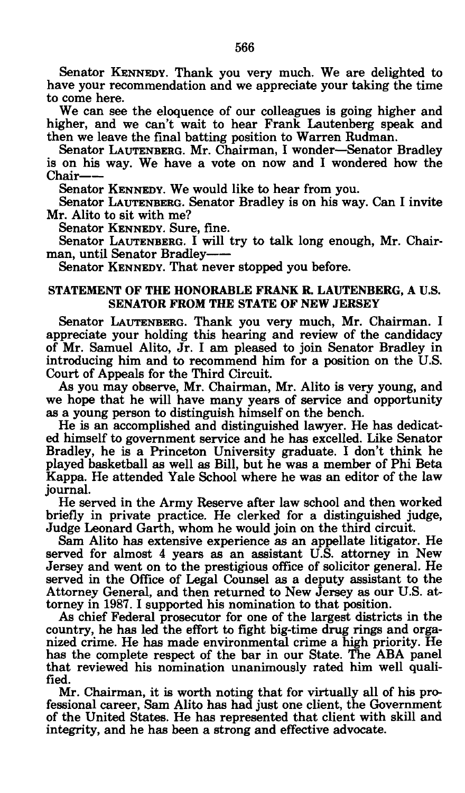Senator KENNEDY. Thank you very much. We are delighted to have your recommendation and we appreciate your taking the time to come here.

We can see the eloquence of our colleagues is going higher and higher, and we can't wait to hear Frank Lautenberg speak and then we leave the final batting position to Warren Rudman.

Senator LAUTENBERG. Mr. Chairman, I wonder—Senator Bradley is on his way. We have a vote on now and I wondered how the Chair

Senator KENNEDY. We would like to hear from you.

Senator LAUTENBERG. Senator Bradley is on his way. Can I invite Mr. Alito to sit with me?

Senator KENNEDY. Sure, fine.

Senator LAUTENBERG. I will try to talk long enough, Mr. Chairman, until Senator Bradley

Senator KENNEDY. That never stopped you before.

#### STATEMENT OF THE HONORABLE FRANK R. LAUTENBERG, A U.S. SENATOR FROM THE STATE OF NEW JERSEY

Senator LAUTENBERG. Thank you very much, Mr. Chairman. I appreciate your holding this hearing and review of the candidacy of Mr. Samuel Alito, Jr. I am pleased to join Senator Bradley in introducing him and to recommend him for a position on the U.S. Court of Appeals for the Third Circuit.

As you may observe, Mr. Chairman, Mr. Alito is very young, and we hope that he will have many years of service and opportunity as a young person to distinguish himself on the bench.

He is an accomplished and distinguished lawyer. He has dedicated himself to government service and he has excelled. Like Senator Bradley, he is a Princeton University graduate. I don't think he played basketball as well as Bill, but he was a member of Phi Beta Kappa. He attended Yale School where he was an editor of the law journal.

He served in the Army Reserve after law school and then worked briefly in private practice. He clerked for a distinguished judge, Judge Leonard Garth, whom he would join on the third circuit.

Sam Alito has extensive experience as an appellate litigator. He served for almost 4 years as an assistant U.S. attorney in New Jersey and went on to the prestigious office of solicitor general. He served in the Office of Legal Counsel as a deputy assistant to the Attorney General, and then returned to New Jersey as our U.S. attorney in 1987. I supported his nomination to that position.

As chief Federal prosecutor for one of the largest districts in the country, he has led the effort to fight big-time drug rings and organized crime. He has made environmental crime a high priority. He has the complete respect of the bar in our State. The ABA panel that reviewed his nomination unanimously rated him well qualified.

Mr. Chairman, it is worth noting that for virtually all of his professional career, Sam Alito has had just one client, the Government of the United States. He has represented that client with skill and integrity, and he has been a strong and effective advocate.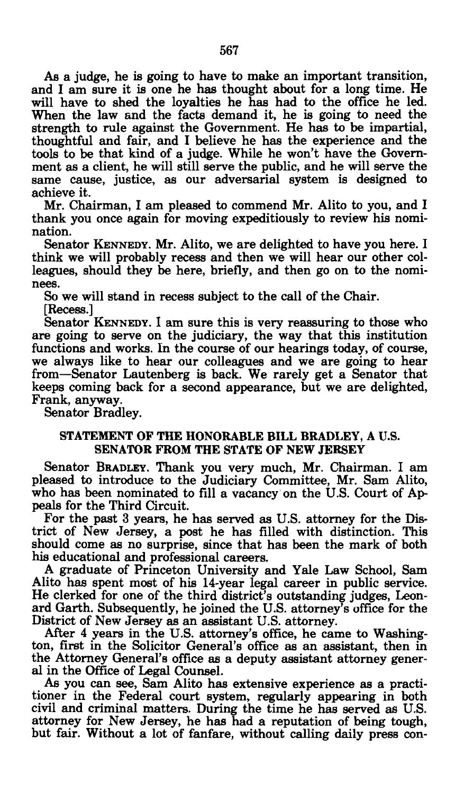As a judge, he is going to have to make an important transition, and I am sure it is one he has thought about for a long time. He will have to shed the loyalties he has had to the office he led. When the law and the facts demand it, he is going to need the strength to rule against the Government. He has to be impartial, thoughtful and fair, and I believe he has the experience and the tools to be that kind of a judge. While he won't have the Government as a client, he will still serve the public, and he will serve the same cause, justice, as our adversarial system is designed to achieve it.

Mr. Chairman, I am pleased to commend Mr. Alito to you, and I thank you once again for moving expeditiously to review his nomination.

Senator KENNEDY. Mr. Alito, we are delighted to have you here. I think we will probably recess and then we will hear our other colleagues, should they be here, briefly, and then go on to the nominees.

So we will stand in recess subject to the call of the Chair.

[Recess.]

Senator KENNEDY. I am sure this is very reassuring to those who are going to serve on the judiciary, the way that this institution functions and works. In the course of our hearings today, of course, we always like to hear our colleagues and we are going to hear from—Senator Lautenberg is back. We rarely get a Senator that keeps coming back for a second appearance, but we are delighted, Frank, anyway.

Senator Bradley.

#### STATEMENT OF THE HONORABLE BILL BRADLEY, A U.S. SENATOR FROM THE STATE OF NEW JERSEY

Senator BRADLEY. Thank you very much, Mr. Chairman. I am pleased to introduce to the Judiciary Committee, Mr. Sam Alito, who has been nominated to fill a vacancy on the U.S. Court of Appeals for the Third Circuit.

For the past 3 years, he has served as U.S. attorney for the District of New Jersey, a post he has filled with distinction. This should come as no surprise, since that has been the mark of both his educational and professional careers.

A graduate of Princeton University and Yale Law School, Sam Alito has spent most of his 14-year legal career in public service. He clerked for one of the third district's outstanding judges, Leonard Garth. Subsequently, he joined the U.S. attorney's office for the District of New Jersey as an assistant U.S. attorney.

After 4 years in the U.S. attorney's office, he came to Washington, first in the Solicitor General's office as an assistant, then in the Attorney General's office as a deputy assistant attorney general in the Office of Legal Counsel.

As you can see, Sam Alito has extensive experience as a practitioner in the Federal court system, regularly appearing in both civil and criminal matters. During the time he has served as U.S. attorney for New Jersey, he has had a reputation of being tough, but fair. Without a lot of fanfare, without calling daily press con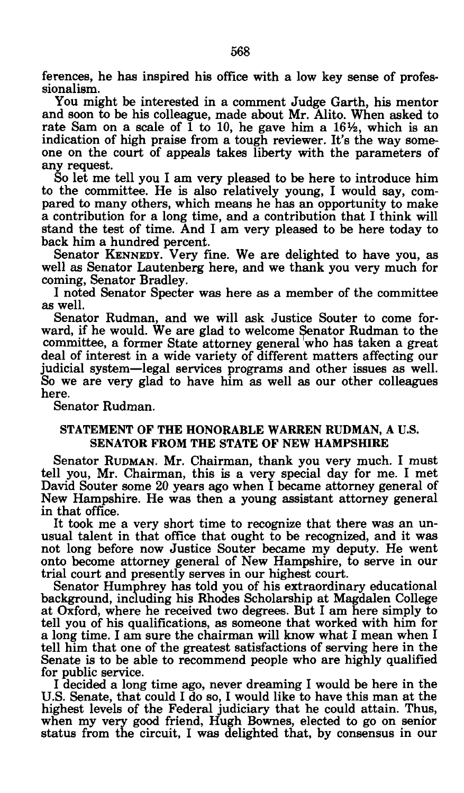ferences, he has inspired his office with a low key sense of professionalism.

You might be interested in a comment Judge Garth, his mentor and soon to be his colleague, made about Mr. Alito. When asked to rate Sam on a scale of  $\check{1}$  to 10, he gave him a 16<sup>1</sup>/<sub>2</sub>, which is an indication of high praise from a tough reviewer. It's the way someone on the court of appeals takes liberty with the parameters of any request.

So let me tell you I am very pleased to be here to introduce him to the committee. He is also relatively young, I would say, compared to many others, which means he has an opportunity to make a contribution for a long time, and a contribution that I think will stand the test of time. And I am very pleased to be here today to back him a hundred percent.

Senator KENNEDY. Very fine. We are delighted to have you, as well as Senator Lautenberg here, and we thank you very much for coming, Senator Bradley.

I noted Senator Specter was here as a member of the committee as well.

Senator Rudman, and we will ask Justice Souter to come forward, if he would. We are glad to welcome Senator Rudman to the committee, a former State attorney general who has taken a great deal of interest in a wide variety of different matters affecting our judicial system—legal services programs and other issues as well. So we are very glad to have him as well as our other colleagues here.

Senator Rudman.

#### STATEMENT OF THE HONORABLE WARREN RUDMAN, A U.S. SENATOR FROM THE STATE OF NEW HAMPSHIRE

Senator RUDMAN. Mr. Chairman, thank you very much. I must tell you, Mr. Chairman, this is a very special day for me. I met David Souter some 20 years ago when I became attorney general of New Hampshire. He was then a young assistant attorney general in that office.

It took me a very short time to recognize that there was an unusual talent in that office that ought to be recognized, and it was not long before now Justice Souter became my deputy. He went onto become attorney general of New Hampshire, to serve in our trial court and presently serves in our highest court.

Senator Humphrey has told you of his extraordinary educational background, including his Rhodes Scholarship at Magdalen College at Oxford, where he received two degrees. But I am here simply to tell you of his qualifications, as someone that worked with him for a long time. I am sure the chairman will know what I mean when I tell him that one of the greatest satisfactions of serving here in the Senate is to be able to recommend people who are highly qualified for public service.

I decided a long time ago, never dreaming I would be here in the U.S. Senate, that could I do so, I would like to have this man at the highest levels of the Federal judiciary that he could attain. Thus, when my very good friend, Hugh Bownes, elected to go on senior status from the circuit, I was delighted that, by consensus in our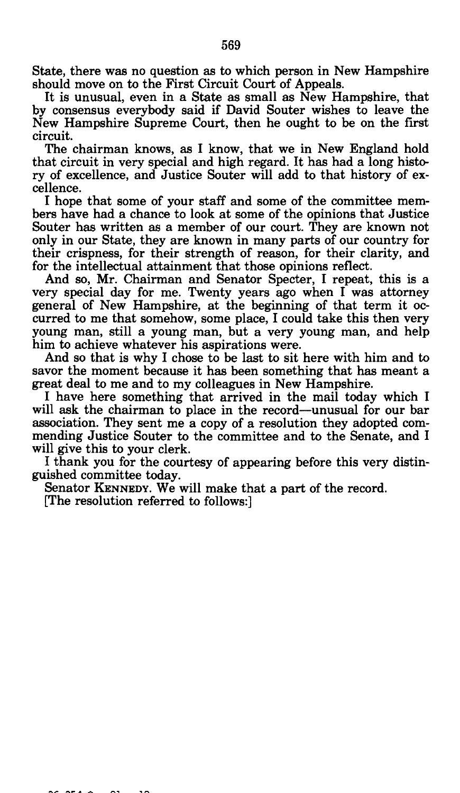State, there was no question as to which person in New Hampshire should move on to the First Circuit Court of Appeals.

It is unusual, even in a State as small as New Hampshire, that by consensus everybody said if David Souter wishes to leave the New Hampshire Supreme Court, then he ought to be on the first circuit.

The chairman knows, as I know, that we in New England hold that circuit in very special and high regard. It has had a long history of excellence, and Justice Souter will add to that history of excellence.

I hope that some of your staff and some of the committee members have had a chance to look at some of the opinions that Justice Souter has written as a member of our court. They are known not only in our State, they are known in many parts of our country for their crispness, for their strength of reason, for their clarity, and for the intellectual attainment that those opinions reflect.

And so, Mr. Chairman and Senator Specter, I repeat, this is a very special day for me. Twenty years ago when I was attorney general of New Hampshire, at the beginning of that term it occurred to me that somehow, some place, I could take this then very young man, still a young man, but a very young man, and help him to achieve whatever his aspirations were.

And so that is why I chose to be last to sit here with him and to savor the moment because it has been something that has meant a great deal to me and to my colleagues in New Hampshire.

I have here something that arrived in the mail today which I will ask the chairman to place in the record—unusual for our bar association. They sent me a copy of a resolution they adopted commending Justice Souter to the committee and to the Senate, and I will give this to your clerk.

I thank you for the courtesy of appearing before this very distinguished committee today.

Senator KENNEDY. We will make that a part of the record.

[The resolution referred to follows:]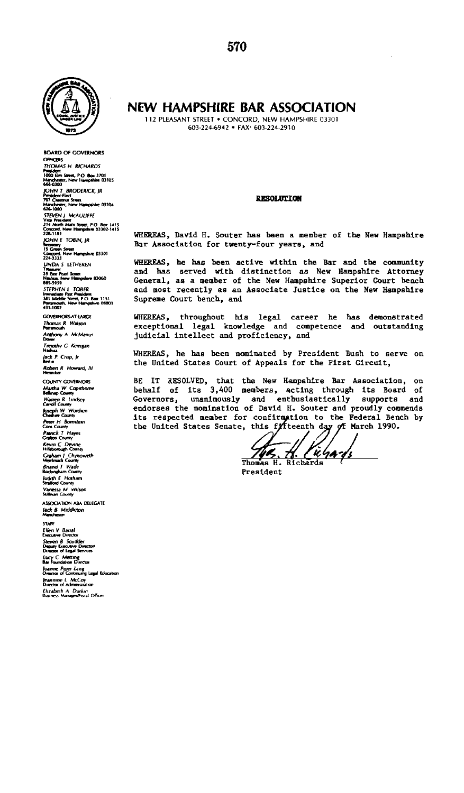

**BOARD OF GOVERNORS OFFICERS THOMAS H RICHARDS Manchester, P.O. Box 3701<br>Manchester, New Hampshire 03105<br>668.0100** 666-0300<br>|CDHN T BRODERICK, JR<br>President-Elect<br>|Manchester, New Hampshire 03104<br>|GI6-1000<br>| **214 North Main Street PO Box 1415 Concord, New Hampshire 03302-1415**  224-1101<br>*JOHN E TOBIN, IR***<br>Secretary<br>Concord, New Hampshire 03301<br>224-3333 UNDAS LETHEREN 39 EM Pearl Street Nashua, New Hampshire 03060 •89-5959 STEPHEN L TOBER Immediate Past President 381 Middle Street, PO Box 1151 GOVERNORSAT-LARGE Thomas R Watson**<br>**Ponsmouth Anthony A McManus Dover Timothy C Kerrigan Nashua lack P. Crop, fr Berlin Robert R COUNTY GOVERNORS Martha W Coptthorne BeaVnap County Warren R bndsey Carroll County Joseph W Worthen Cheshire County Peter H Bomstetn Coos County Patrick T Hayes Grafton County Kevin C Dewne HiHsborough County Graham / Chynoweth Merrimack County Bnand T Wade Rockingham County ludith E Hotham Strafford County Vanessa M Wilson Sullivan County ASSOCIATION ABA DELEGATE lack B Middleton Manchester STAfF £ lien V Banal Executive Director Steven B Scudder Deputy Executive Dtrectoi/ Director of Legal Sen/tees Lucy C Meeting; Bar Foundation Director foanne Piper Lang Director of Continuing Legal Education**  *leanmne L McCoy*<br>**Dianone L McCoy**<br>Dianotor of Administration **Director of Administration Elizabeth A Durkm** 

#### **NEW HAMPSHIRE BAR ASSOCIATION**

112 PLEASANT STREET . CONCORD, NEW HAMPSHIRE 03301 603-224-6942 • FAX\* 603-224-2910

#### **RESOLUTION**

WHEREAS, David H. Souter has been a member of the New Hampshire Bar Association for twenty-four years, and

WHEREAS, he has been active within the Bar and the community and has served with distinction as New Hampshire Attorney General, as a member of the New Hampshire Superior Court bench and most recently as an Associate Justice on the New Hampshire Supreme Court bench, and

WHEREAS, throughout his legal career he has demonstrated exceptional legal knowledge and competence and outstanding judicial Intellect and proficiency, and

WHEREAS, he has been nominated by President Bush to serve on the United States Court of Appeals for the First Circuit,

BE IT RESOLVED, that the New Hampshire Bar Association, on behalf of Its 3,400 members, acting through Its Board of Governors, unanimously and enthusiastically supports and endorses the nomination of David H. Souter and proudly commends<br>its respected member for confirmation to the Federal Bench by<br>the United States Senate, this f*i*fteenth day of March 1990.

Thomas H. Richards

President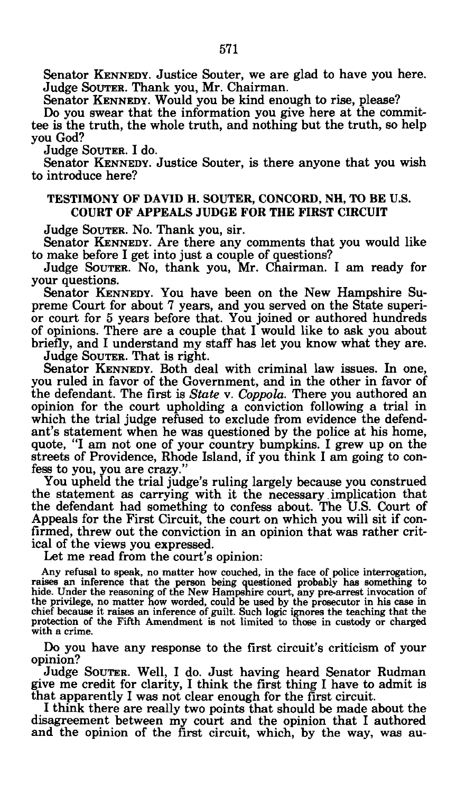Senator KENNEDY. Justice Souter, we are glad to have you here. Judge SOUTER. Thank you, Mr. Chairman.

Senator KENNEDY. Would you be kind enough to rise, please?<br>De you gwear that the information you give have at the com-

Do you swear that the information you give here at the committee is the truth, the whole truth, and nothing but the truth, so help you God?

Judge SOUTER. I do.

ouuge Sooten. 1 uu.<br>Senator Krnnrnv Senator KENNEDY. Sustice Souter, is there anyone that you wish<br>introduce here? to introduce here.

#### **TESTIMONY OF DAVID H. SOUTER, CONCORD, NH, TO BE U.S. COURT OF APPEALS JUDGE FOR THE FIRST CIRCUIT**

Judge SOUTER. NO. Thank you, sir.

Senator KENNEDY. Are there any comments that you would like to make before I get into just a couple of questions?

Judge SOUTER. NO, thank you, Mr. Chairman. I am ready for your questions.

Senator KENNEDY. YOU have been on the New Hampshire Supreme Court for about 7 years, and you served on the State superior court for 5 years before that. You joined or authored hundreds of opinions. There are a couple that I would like to ask you about briefly, and I understand my staff has let you know what they are.

Judge SOUTER. That is right.

Senator KENNEDY. Both deal with criminal law issues. In one, you ruled in favor of the Government, and in the other in favor of the defendant. The first is *State* v. *Coppola.* There you authored an opinion for the court upholding a conviction following a trial in which the trial judge refused to exclude from evidence the defendant's statement when he was questioned by the police at his home, quote, "I am not one of your country bumpkins. I grew up on the streets of Providence, Rhode Island, if you think I am going to confess to you, you are crazy."

You upheld the trial judge's ruling largely because you construed the statement as carrying with it the necessary.implication that the defendant had something to confess about. The U.S. Court of Appeals for the First Circuit, the court on which you will sit if confirmed, threw out the conviction in an opinion that was rather critical of the views you expressed.

Let me read from the court's opinion:

Any refusal to speak, no matter how couched, in the face of police interrogation, raises an inference that the person being questioned probably has something to hide. Under the reasoning of the New Hampshire court, any pre-arrest invocation of the privilege, no matter how worded, could be used by the pr protection of the Fifth Amendment is not limited to those in custody or charged with a crime.

Do you have any response to the first circuit's criticism of your opinion?

Judge SOUTER. Well, I do. Just having heard Senator Rudman give me credit for clarity, I think the first thing I have to admit is that apparently I was not clear enough for the first circuit.

I think there are really two points that should be made about the disagreement between my court and the opinion that I authored and the opinion of the first circuit, which, by the way, was au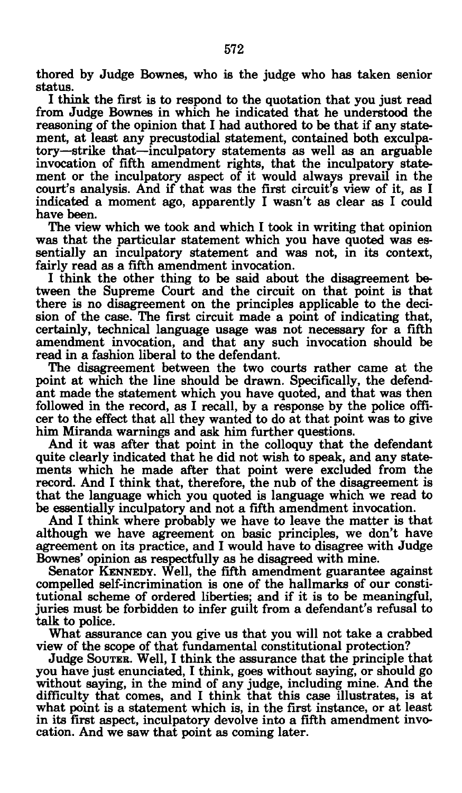thored by Judge Bownes, who is the judge who has taken senior status.

I think the first is to respond to the quotation that you just read from Judge Bownes in which he indicated that he understood the reasoning of the opinion that I had authored to be that if any statement, at least any precustodial statement, contained both exculpatory—strike that—inculpatory statements as well as an arguable invocation of fifth amendment rights, that the inculpatory statement or the inculpatory aspect of it would always prevail in the court's analysis. And if that was the first circuit's view of it, as I indicated a moment ago, apparently I wasn't as clear as I could have been.

The view which we took and which I took in writing that opinion was that the particular statement which you have quoted was essentially an inculpatory statement and was not, in its context, fairly read as a fifth amendment invocation.

I think the other thing to be said about the disagreement between the Supreme Court and the circuit on that point is that there is no disagreement on the principles applicable to the decision of the case. The first circuit made a point of indicating that, certainly, technical language usage was not necessary for a fifth amendment invocation, and that any such invocation should be read in a fashion liberal to the defendant.

The disagreement between the two courts rather came at the point at which the line should be drawn. Specifically, the defendant made the statement which you have quoted, and that was then followed in the record, as I recall, by a response by the police officer to the effect that all they wanted to do at that point was to give him Miranda warnings and ask him further questions.

And it was after that point in the colloquy that the defendant quite clearly indicated that he did not wish to speak, and any statements which he made after that point were excluded from the record. And I think that, therefore, the nub of the disagreement is that the language which you quoted is language which we read to be essentially inculpatory and not a fifth amendment invocation.

And I think where probably we have to leave the matter is that although we have agreement on basic principles, we don't have agreement on its practice, and I would have to disagree with Judge Bownes' opinion as respectfully as he disagreed with mine.

Senator KENNEDY. Well, the fifth amendment guarantee against compelled self-incrimination is one of the hallmarks of our constitutional scheme of ordered liberties; and if it is to be meaningful, juries must be forbidden to infer guilt from a defendant's refusal to talk to police.

What assurance can you give us that you will not take a crabbed view of the scope of that fundamental constitutional protection?

Judge SOUTER. Well, I think the assurance that the principle that you have just enunciated, I think, goes without saying, or should go without saying, in the mind of any judge, including mine. And the difficulty that comes, and I think that this case illustrates, is at what point is a statement which is, in the first instance, or at least in its first aspect, inculpatory devolve into a fifth amendment invocation. And we saw that point as coming later.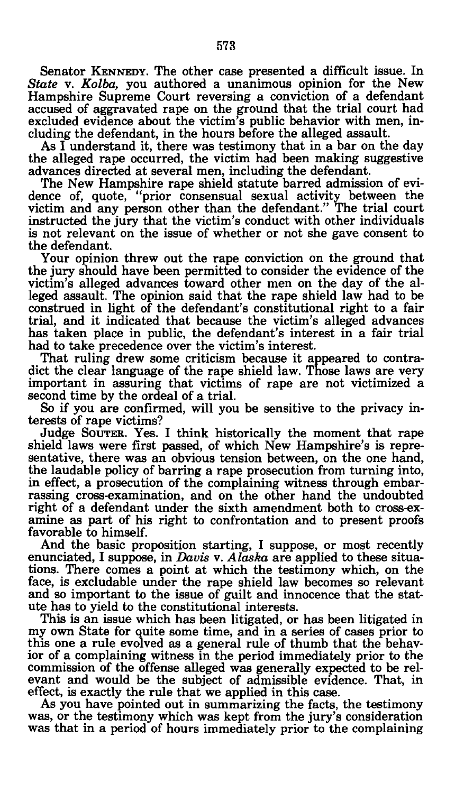Senator KENNEDY. The other case presented a difficult issue. In *State* v. *Kolba,* you authored a unanimous opinion for the New Hampshire Supreme Court reversing a conviction of a defendant accused of aggravated rape on the ground that the trial court had excluded evidence about the victim's public behavior with men, including the defendant, in the hours before the alleged assault.

As I understand it, there was testimony that in a bar on the day the alleged rape occurred, the victim had been making suggestive advances directed at several men, including the defendant.

The New Hampshire rape shield statute barred admission of evidence of, quote, "prior consensual sexual activity between the victim and any person other than the defendant." The trial court instructed the jury that the victim's conduct with other individuals is not relevant on the issue of whether or not she gave consent to the defendant.

Your opinion threw out the rape conviction on the ground that the jury should have been permitted to consider the evidence of the victim's alleged advances toward other men on the day of the alleged assault. The opinion said that the rape shield law had to be construed in light of the defendant's constitutional right to a fair trial, and it indicated that because the victim's alleged advances has taken place in public, the defendant's interest in a fair trial had to take precedence over the victim's interest.

That ruling drew some criticism because it appeared to contradict the clear language of the rape shield law. Those laws are very important in assuring that victims of rape are not victimized a second time by the ordeal of a trial.

So if you are confirmed, will you be sensitive to the privacy interests of rape victims?

Judge SOUTER. Yes. I think historically the moment that rape shield laws were first passed, of which New Hampshire's is representative, there was an obvious tension between, on the one hand, the laudable policy of barring a rape prosecution from turning into, in effect, a prosecution of the complaining witness through embarrassing cross-examination, and on the other hand the undoubted right of a defendant under the sixth amendment both to cross-examine as part of his right to confrontation and to present proofs favorable to himself.

And the basic proposition starting, I suppose, or most recently enunciated, I suppose, in *Davis* v. *Alaska* are applied to these situations. There comes a point at which the testimony which, on the face, is excludable under the rape shield law becomes so relevant and so important to the issue of guilt and innocence that the statute has to yield to the constitutional interests.

This is an issue which has been litigated, or has been litigated in my own State for quite some time, and in a series of cases prior to this one a rule evolved as a general rule of thumb that the behavior of a complaining witness in the period immediately prior to the commission of the offense alleged was generally expected to be relevant and would be the subject of admissible evidence. That, in effect, is exactly the rule that we applied in this case.

As you have pointed out in summarizing the facts, the testimony was, or the testimony which was kept from the jury's consideration was that in a period of hours immediately prior to the complaining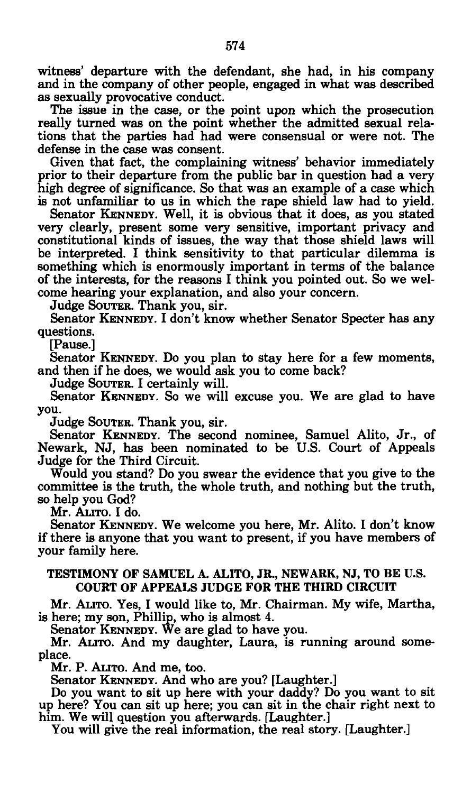witness' departure with the defendant, she had, in his company and in the company of other people, engaged in what was described as sexually provocative conduct.

The issue in the case, or the point upon which the prosecution really turned was on the point whether the admitted sexual relations that the parties had had were consensual or were not. The defense in the case was consent.

Given that fact, the complaining witness' behavior immediately prior to their departure from the public bar in question had a very high degree of significance. So that was an example of a case which is not unfamiliar to us in which the rape shield law had to yield.

Senator KENNEDY. Well, it is obvious that it does, as you stated very clearly, present some very sensitive, important privacy and constitutional kinds of issues, the way that those shield laws will be interpreted. I think sensitivity to that particular dilemma is something which is enormously important in terms of the balance of the interests, for the reasons I think you pointed out. So we welcome hearing your explanation, and also your concern.

Judge SOUTER. Thank you, sir.

Senator KENNEDY. I don't know whether Senator Specter has any questions.

[Pause.]

Senator KENNEDY. DO you plan to stay here for a few moments, and then if he does, we would ask you to come back?

Judge SOUTER. I certainly will.

Senator KENNEDY. So we will excuse you. We are glad to have you.<br>Judge Souter. Thank you, sir.

Senator KENNEDY. The second nominee, Samuel Alito, Jr., of Schator KENNEDY. The second nominee, Samuel Alito, 91., of<br>Swark NJ has been nominated to be U.S. Court of Anneals Newark, No, has been nominated to be U.S. Court of Appeals<br>Judge for the Third Circuit Judge for the Third Circuit.<br>Would you stand? Do you swear the evidence that you give to the

would you stand? Do you swear the evidence that you give to the<br>mmittee is the truth the whole truth and nothing but the truth. committee is the truth, the whole truth, and nothing but the truth,<br>so help you God? so help you God?

Senator KENNEDY. We welcome you here, Mr. Alito. I don't know if there is anyone that you want to present, if you have members of your family here. your family here.

#### TESTIMONY OF SAMUEL A. ALITO, JR., NEWARK, NJ, TO BE U.S. COURT OF APPEALS JUDGE FOR THE THIRD CIRCUIT

Mr. ALITO. Yes, I would like to, Mr. Chairman. My wife, Martha, is here; my son, Phillip, who is almost 4.

Senator KENNEDY. We are glad to have you.

Mr. ALITO. And my daughter, Laura, is running around someplace.<br>Mr. P. ALITO. And me, too.

Senator KENNEDY. And who are you? [Laughter.]

Do you want to sit up here with your daddy? Do you want to sit up here? You can sit up here; you can sit in the chair right next to him. We will question you afterwards. [Laughter.]

him. We will question you afterwards. [Laughter.]<br>You will give the real information the real story You will give the real information, the real story. [Laughter.]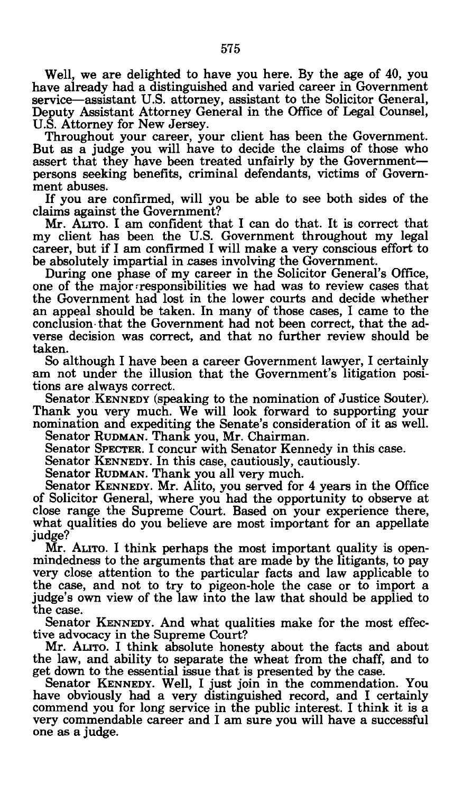Well, we are delighted to have you here. By the age of 40, you have already had a distinguished and varied career in Government service—assistant U.S. attorney, assistant to the Solicitor General, Deputy Assistant Attorney General in the Office of Legal Counsel, U.S. Attorney for New Jersey.

Throughout your career, your client has been the Government. But as a judge you will have to decide the claims of those who assert that they have been treated unfairly by the Government persons seeking benefits, criminal defendants, victims of Government abuses.

If you are confirmed, will you be able to see both sides of the claims against the Government?

Mr. ALITO. I am confident that I can do that. It is correct that my client has been the U.S. Government throughout my legal career, but if I am confirmed I will make a very conscious effort to be absolutely impartial in cases involving the Government.

During one phase of my career in the Solicitor General's Office, one of the major responsibilities we had was to review cases that the Government had lost in the lower courts and decide whether an appeal should be taken. In many of those cases, I came to the conclusion that the Government had not been correct, that the adverse decision was correct, and that no further review should be taken.

So although I have been a career Government lawyer, I certainly am not under the illusion that the Government's litigation positions are always correct.

Senator KENNEDY (speaking to the nomination of Justice Souter). Thank you very much. We will look forward to supporting your nomination and expediting the Senate's consideration of it as well.

Senator RUDMAN. Thank you, Mr. Chairman.

Senator SPECTER. I concur with Senator Kennedy in this case.<br>Senator KENNEDY. In this case, cautiously, cautiously.

Senator RUDMAN. Thank you all very much.

Senator KENNEDY. Mr. Alito, you served for 4 years in the Office of Solicitor General, where you had the opportunity to observe at close range the Supreme Court. Based on your experience there, close range the Supreme Court. Based on your experience there, what qualities do you believe are most important for an appellate

judge?<br>Mr. ALITO. I think perhaps the most important quality is openmindedness to the arguments that are made by the litigants, to pay very close attention to the particular facts and law applicable to very close attention to the particular facts and law applicable to the case, and not to try to pigeon-hole the case or to import a the case, and not to try to pigeon-hole the case of to import a index sound in the case of the case. judge's own view of the law into the law that should be applied to the case.<br>Senator KENNEDY. And what qualities make for the most effec-

Senator INENNEDY. And what qualities make for the most effec-<br>leadvocacy in the Sunreme Court?

tive advocacy in the Supreme Court:<br>Mr. Attro. I think absolute hones the law, and ability to separate the wheat from the chaff, and to get down to the essential issue that is presented by the case.

Senator KENNEDY. Well, I just join in the commendation. You have obviously had a very distinguished record, and I certainly commend you for long service in the public interest. I think it is a commend you for long service in the public interest. I think it is a<br>very commendable career and I am sure you will have a successful very commendable career and I am sure you will have a successful<br>one as a judge. one as a judge.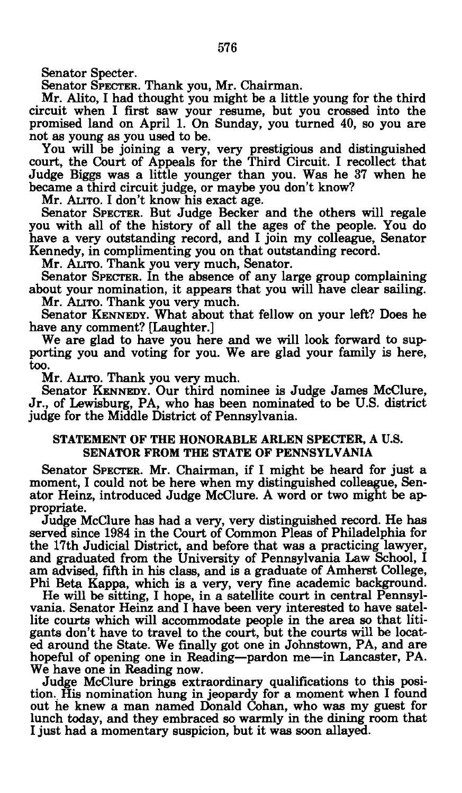Senator Specter.

Senator SPECTER. Thank you, Mr. Chairman.

Mr. Alito, I had thought you might be a little young for the third circuit when I first saw your resume, but you crossed into the promised land on April 1. On Sunday, you turned 40, so you are not as young as you used to be.

You will be joining a very, very prestigious and distinguished court, the Court of Appeals for the Third Circuit. I recollect that Judge Biggs was a little younger than you. Was he 37 when he became a third circuit judge, or maybe you don't know?

Mr. ALITO. I don't know his exact age.<br>Senator Specter. But Judge Becker and the others will regale you with all of the history of all the ages of the people. You do you with all of the history of all the ages of the people. You do<br>have a very outstanding recept, and I join my collecgue. Senator have a very outstanding record, and I join my colleague, Senator Kennedy, in complimenting you on that outstanding record.

Senator Specter. In the absence of any large group complaining. about your nomination, it appears that you will have clear sailing. Mr. ALITO. Thank you very much.

Senator KENNEDY. What about that fellow on your left? Does he have any comment? [Laughter.]

We are glad to have you here and we will look forward to suprting you and voting for you. We are glad your family is here, porting you and voting for you. We are glad your family is here, too.<br>Mr. ALITO. Thank you very much.

Senator KENNEDY. Our third nominee is Judge James McClure, Jr., of Lewisburg, PA, who has been nominated to be U.S. district judge for the Middle District of Pennsylvania.

#### judge for the Middle District of Pennsylvania. STATEMENT OF THE HONORABLE ARLEN SPECTER, A U.S. SENATOR FROM THE STATE OF PENNSYLVANIA

Senator SPECTER. Mr. Chairman, if I might be heard for just a moment, I could not be here when my distinguished colleague, Senator Heinz, introduced Judge McClure. A word or two might be appropriate.

Judge McClure has had a very, very distinguished record. He has served since 1984 in the Court of Common Pleas of Philadelphia for the 17th Judicial District, and before that was a practicing lawyer, and graduated from the University of Pennsylvania Law School, I am advised, fifth in his class, and is a graduate of Amherst College, Phi Beta Kappa, which is a very, very fine academic background.

He will be sitting, I hope, in a satellite court in central Pennsylvania. Senator Heinz and I have been very interested to have satellite courts which will accommodate people in the area so that litigants don't have to travel to the court, but the courts will be located around the State. We finally got one in Johnstown, PA, and are hopeful of opening one in Reading—pardon me—in Lancaster, PA. We have one in Reading now.

Judge McClure brings extraordinary qualifications to this position. His nomination hung in jeopardy for a moment when I found out he knew a man named Donald Cohan, who was my guest for lunch today, and they embraced so warmly in the dining room that I just had a momentary suspicion, but it was soon allayed.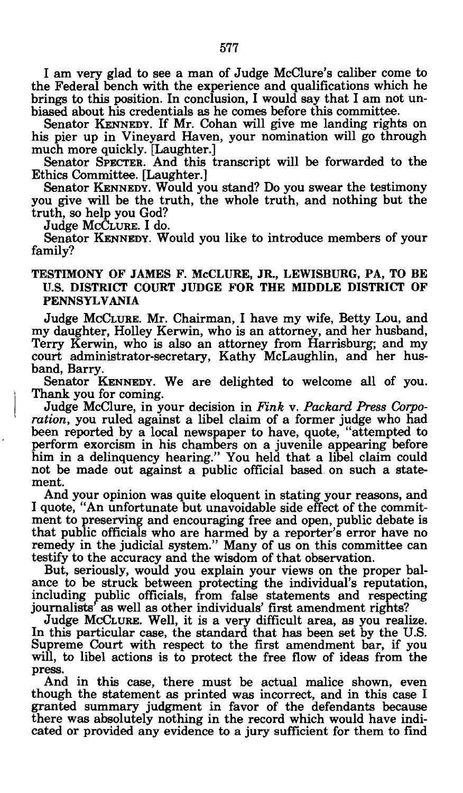I am very glad to see a man of Judge McClure's caliber come to the Federal bench with the experience and qualifications which he brings to this position. In conclusion, I would say that I am not unbiased about his credentials as he comes before this committee.

Senator KENNEDY. If Mr. Cohan will give me landing rights on his pier up in Vineyard Haven, your nomination will go through much more quickly. [Laughter.]

Senator SPECTER. And this transcript will be forwarded to the Ethics Committee. [Laughter.]

Senator KENNEDY. Would you stand? Do you swear the testimony you give will be the truth, the whole truth, and nothing but the truth, so help you God?

Judge MCCLURE. I do.

Senator KENNEDY. Would you like to introduce members of your family?

#### TESTIMONY OF JAMES F. McCLURE, JR., LEWISBURG, PA, TO BE U.S. DISTRICT COURT JUDGE FOR THE MIDDLE DISTRICT OF PENNSYLVANIA

Judge MCCLURE. Mr. Chairman, I have my wife, Betty Lou, and my daughter, Holley Kerwin, who is an attorney, and her husband, Terry Kerwin, who is also an attorney from Harrisburg; and my court administrator-secretary, Kathy McLaughlin, and her husband, Barry.

Senator KENNEDY. We are delighted to welcome all of you. Thank you for coming.

Judge McClure, in your decision in *Fink* v. *Packard Press Corporation,* you ruled against a libel claim of a former judge who had been reported by a local newspaper to have, quote, "attempted to perform exorcism in his chambers on a juvenile appearing before him in a delinquency hearing." You held that a libel claim could not be made out against a public official based on such a statement.

And your opinion was quite eloquent in stating your reasons, and I quote, "An unfortunate but unavoidable side effect of the commitment to preserving and encouraging free and open, public debate is that public officials who are harmed by a reporter's error have no remedy in the judicial system." Many of us on this committee can testify to the accuracy and the wisdom of that observation.

But, seriously, would you explain your views on the proper balance to be struck between protecting the individual's reputation, including public officials, from false statements and respecting journalists' as well as other individuals' first amendment rights?

Judge MCCLURE. Well, it is a very difficult area, as you realize. In this particular case, the standard that has been set by the U.S. Supreme Court with respect to the first amendment bar, if you will, to libel actions is to protect the free flow of ideas from the press.

And in this case, there must be actual malice shown, even though the statement as printed was incorrect, and in this case I granted summary judgment in favor of the defendants because there was absolutely nothing in the record which would have indicated or provided any evidence to a jury sufficient for them to find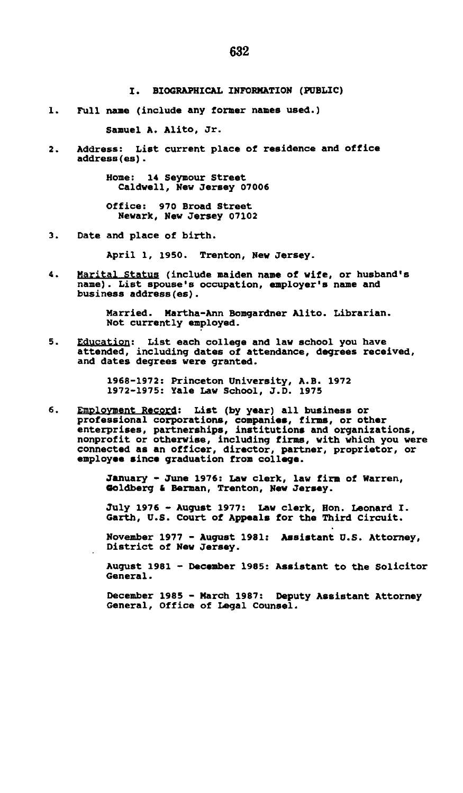**1. Full name (include any former names used.)** 

**Samuel A. Alito, Jr.** 

**2. Address: List current place of residence and office address(es).** 

> **Home: 14 Seymour Street Caldwell, New Jersey 07006**

**Office: 970 Broad Street Newark, New Jersey 07102** 

**3. Date and place of birth.** 

**April 1, 1950. Trenton, New Jersey.** 

**4. Marital Status (include maiden name of wife, or husband's name). List spouse's occupation, employer's name and business address(es).** 

> **Married. Martha-Ann Bomgardner Alito. Librarian. Not currently employed.**

**5. Education: List each college and law school you have attended, including dates of attendance, degrees received, and dates degrees were granted.** 

**1968-1972: Princeton University, A.B. 1972 1972-1975: Yale Law School, J.D. 1975** 

**6. Employment Record: List (by year) all business or**  professional corporations, companies, firms, or other<br>enterprises, partnerships, institutions and organizations,<br>nonprofit or otherwise, including firms, with which you were<br>connected as an officer, director, partner, prop

> **January - June 1976: Law clerk, law firm of Warren, Goldberg** *t* **Barman, Trenton, New Jersey.**

**July 1976 - August 1977: Law clerk, Hon. Leonard I. Garth, U.S. Court of Appeals for the Third Circuit.** 

**November 1977 - August 1981: Assistant U.S. Attorney, District of New Jersey.** 

**August 1981 - December 1985: Assistant to the Solicitor General.** 

**December 1985 - March 1987: Deputy Assistant Attorney General, Office of Legal Counsel.**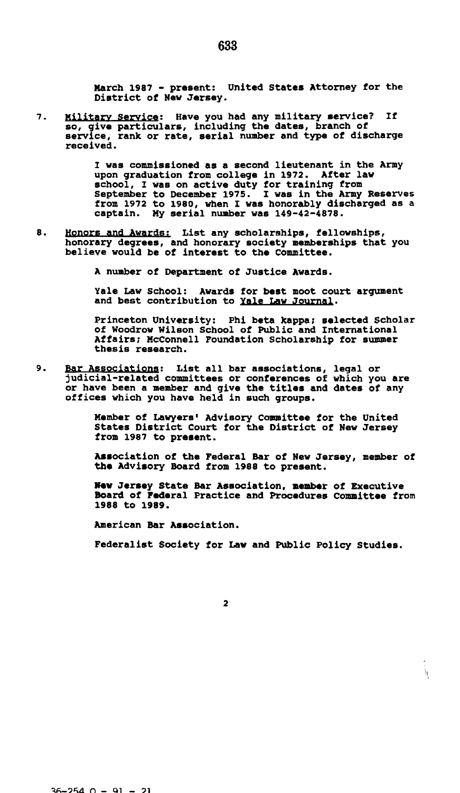**March 1987 - present: United States Attorney for the District of New Jersey.** 

7. **Military Service; Have you had any military service? If so, give particulars, including the dates, branch of service, rank or rate, serial number and type of discharge received.** 

> **I was commissioned as a second lieutenant in the Army upon graduation from college in 1972. After law school, I was on active duty for training from September to December 1975. I was in the Army Reserves from 1972 to 1980, when I was honorably discharged as a captain. My serial number was 149-42-4878.**

8. **Honors and Awards; List any scholarships, fellowships, honorary degrees, and honorary society memberships that you believe would be of interest to the Committee.** 

**A number of Department of Justice Awards.** 

**Yale Law School: Awards for best moot court argument and best contribution to Yale Law Journal.** 

**Princeton University: Phi beta kappa; selected Scholar of Woodrow Wilson School of Public and International Affairs; McConnell Foundation Scholarship for summer thesis research.** 

 $\bullet$ . **Bar Associations: List all bar associations, legal or judicial-related committees or conferences of which you are or have been a member and give the titles and dates of any offices which you have held in such groups.** 

> **Member of Lawyers' Advisory Committee for the United States District Court for the District of New Jersey from 1987 to present.**

**Association of the Federal Bar of New Jersey, member of the Advisory Board from 1988 to present.** 

**New Jersey State Bar Association, member of Executive Board of Federal Practice and Procedures Committee from 1988 to 1989.** 

**American Bar Association.** 

**Federalist Society for Law and Public Policy Studies.** 

 $\boldsymbol{h}$ 

633

 $\overline{2}$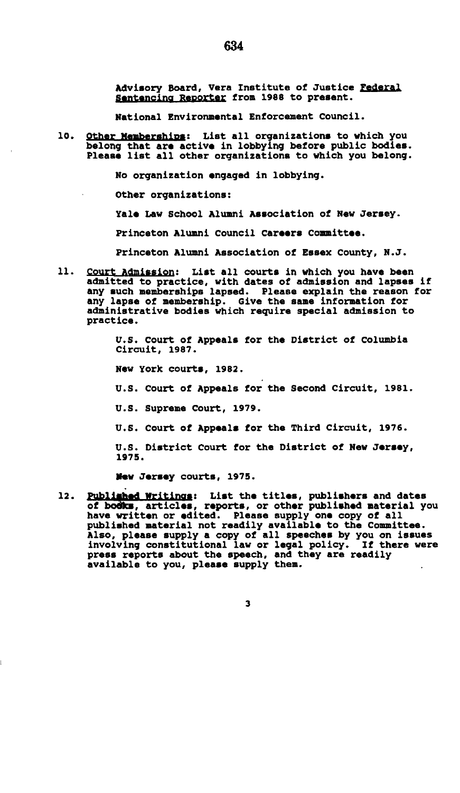Advisory Board, Vera Institute of Justice Federal Sentencing Reporter from 1988 to present.

National Environmental Enforcement Council.

 $10.$ Other Memberships: List all organizations to which you belong that **are** active in lobbying before public bodies. Please list all other organizations to which you belong.

No organization engaged in lobbying.

Other organizations:

Yale Law School Alumni Association of New Jersey.

Princeton Alumni Council Careers Committee.

Princeton Alumni Association of Essex County, N.J.

11. Court Admission; List all courts in which you have been admitted to practice, with dates of admission and lapses if any such memberships lapsed. Please explain the reason for any lapse of membership. Give the same information for administrative bodies which require special admission to practice.

> U.S. Court of Appeals for the District of Columbia Circuit, 1987.

New York courts, 1982.

U.S. Court of Appeals for the Second Circuit, 1981.

U.S. Supreme Court, 1979.

U.S. Court of Appeals for the Third Circuit, 1976.

U.S. District Court for the District of New Jersey, 1975.

**Mew Jersey** courts, 1975.

 $12.$ Publ^|K#d Writings; List the titles, publishers and dates of **bodies, articles, reports,** or other published material you have written or **edited.** Please supply one copy of all published material not readily available to the Committee. Also, please supply a copy of all speeches by you on issues involving constitutional law or legal policy. If there were press reports about the speech, and they are readily available to you, please supply them.

634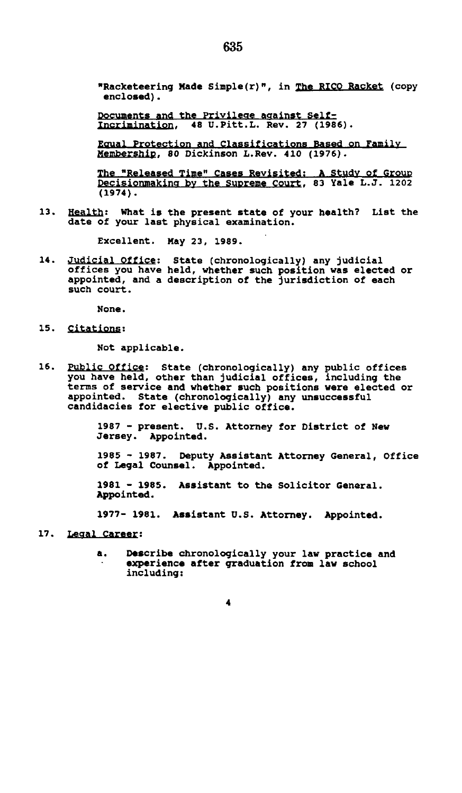**"Racketeering Made Simple(r)", in The RICO Racket (copy enclosed).** 

**Documents and the Privilege against Selfincrimination. 48 U.Pitt.L. Rev. 27 (1986).** 

**Ecrual Protection and Classifications Based on Family Membership. 80 Dickinson L.Rev. 410 (1976).** 

**The "Released Time" Cases Revisited: A Study of Group Decisionmaking bv the Supreme Court. 83 Yale L.J. 1202 (1974).** 

**13. Health; What is the present state of your health? List the date of your last physical examination.** 

**Excellent. May 23, 1989.** 

**14. Judicial Office; State (chronologically) any judicial offices you have held, whether such position was elected or appointed, and a description of the jurisdiction of each such court.** 

**None.** 

**is. citations:** 

**Not applicable.** 

**16. Public Office; state (chronologically) any public offices you have held, other than judicial offices, including the terms of service and whether such positions were elected or appointed. State (chronologically) any unsuccessful candidacies for elective public office.** 

> **1987 - present. U.S. Attorney for District of New Jersey. Appointed.**

**1985 - 1987. Deputy Assistant Attorney General, Office of Legal Counsel. Appointed.** 

**1981 - 1985. Assistant to the Solicitor General. Appointed.** 

**1977- 1981. Assistant U.S. Attorney. Appointed.** 

- **17. Legal Career;** 
	- **a. Describe chronologically your law practice and experience after graduation from law school including:**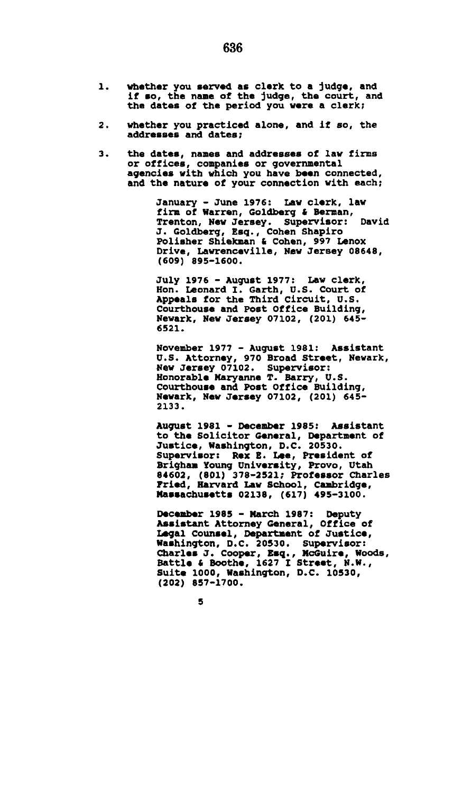- 1. **whether you served as clerk to a judge, and if so, the name of the judge, the court, and the dates of the period you were a clerk;**
- **whether you practiced alone, and if so, the**   $2.$ **addresses and dates;**
- **the dates, names and addresses of law firms**   $\overline{\mathbf{3}}$ . **or offices, companies or governmental agencies with which you have been connected, and the nature of your connection with each;**

**January - June 1976: Law clerk, law firm of Warren, Goldberg & Berman, Trenton, New Jersey. Supervisor: David J. Goldberg, Esq., Cohen Shapiro Polisher Shiekman & Cohen, 997 Lenox Drive, Lawrenceville, New Jersey 08648, (609) 895-1600.** 

**July 1976 - August 1977: Law clerk, Hon. Leonard I. Garth, U.S. Court of Appeals for the Third Circuit, U.S. Courthouse and Post Office Building, Newark, New Jersey 07102, (201) 645- 6521.** 

**November 1977 - August 1981: Assistant U.S. Attorney, 970 Broad Street, Newark, New Jersey 07102. Supervisor: Honorable Maryanne T. Barry, U.S. Courthouse and Post Office Building, Newark, New Jersey 07102, (201) 645- 2133.** 

**August 1981 - December 1985: Assistant to the Solicitor General, Department of Justice, Washington, D.C. 20530. Supervisor: Rex E. Lee, President of Brigham Young University, Provo, Utah 84602, (801) 378-2521; Professor Charles Fried, Harvard Law School, Cambridge, Massachusetts 02138, (617) 495-3100.** 

**December 1985 - March 1987: Deputy Assistant Attorney General, Office of Legal Counsel, Department of Justice, Washington, D.C. 20530. Supervisor: Charles J. Cooper, Esq., McGuire, Woods, Battle & Boothe, 1627 I Street, N.W., Suite 1000, Washington, D.C. 10530, (202) 857-1700.**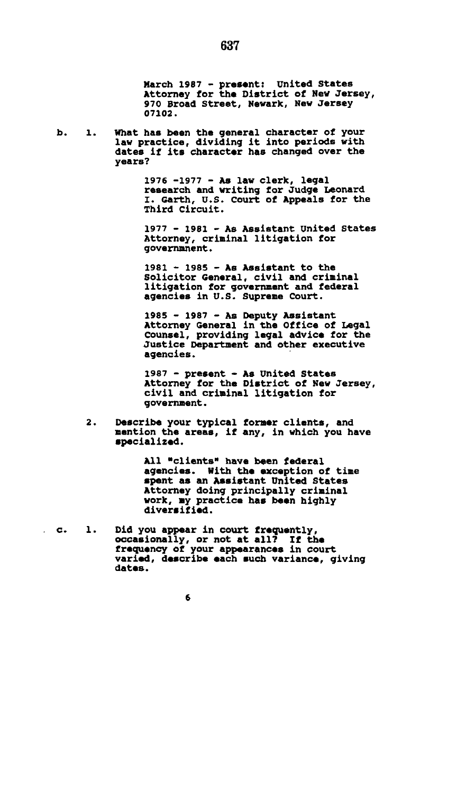**March 1987 - present: United States Attorney for the District of New Jersey, 970 Broad Street, Newark, New Jersey 07102.** 

b.  $\mathbf{1}$ . **What has been the general character of your law practice, dividing it into periods with dates if its character has changed over the years?** 

> **1976 -1977 - As law clerk, legal research and writing for Judge Leonard I. Garth, U.S. Court of Appeals for the Third Circuit.**

> **1977 - 1981 - As Assistant United States Attorney, criminal litigation for governmnent.**

**1981 - 1985 - As Assistant to the Solicitor General, civil and criminal litigation for government and federal agencies in U.S. Supreme Court.** 

**1985 - 1987 - As Deputy Assistant Attorney General in the Office of Legal Counsel, providing legal advice for the Justice Department and other executive agencies.** 

**1987 - present - As United States Attorney for the District of New Jersey, civil and criminal litigation for government.** 

 $2.$ **Describe your typical former clients, and mention the areas, if any, in which you have specialized.** 

> **All "clients" have been federal agencies. With the exception of time spent as an Assistant United States Attorney doing principally criminal work, my practice has been highly diversified.**

 $\mathbf{c}$ .  $\mathbf{1}$ . **Did you appear in court frequently, occasionally, or not at all? If the frequency of your appearances in court varied, describe each such variance, giving dates.**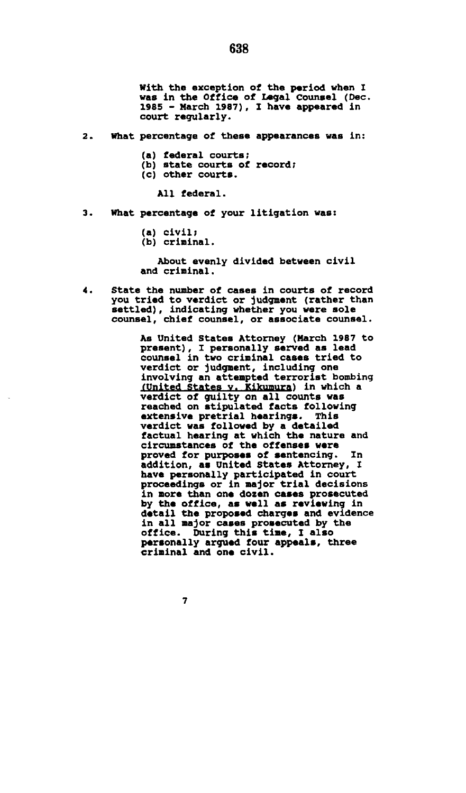**With the exception of the period when I was in the Office of Legal Counsel (Dec. 1985 - March 1987), I have appeared in court regularly.** 

- **2. What percentage of these appearances was in:** 
	- **(a) federal courts;**
	- **(b) state courts of record;**
	- **(c) other courts.**

**All federal.** 

- **3. What percentage of your litigation was:** 
	- **(a) civil;**
	- **(b) criminal.**

**About evenly divided between civil and criminal.** 

**4. State the number of cases in courts of record you tried to verdict or judgment (rather than settled), indicating whether you were sole counsel, chief counsel, or associate counsel.** 

> **As United States Attorney (March 1987 to present), I personally served as lead counsel in two criminal cases tried to verdict or judgment, including one involving an attempted terrorist bombing (United States v. Kikumura)** in which a **verdict of guilty on all counts was reached on stipulated facts following extensive pretrial hearings. This verdict was followed by a detailed factual hearing at which the nature and circumstances of the offenses were proved for purposes of sentencing. In addition, as United States Attorney, I have personally participated in court proceedings or in major trial decisions in more than one dozen cases prosecuted by the office, as well as reviewing in detail the proposed charges and evidence in all major cases prosecuted by the office. During this time, I also personally argued four appeals, three criminal and one civil.**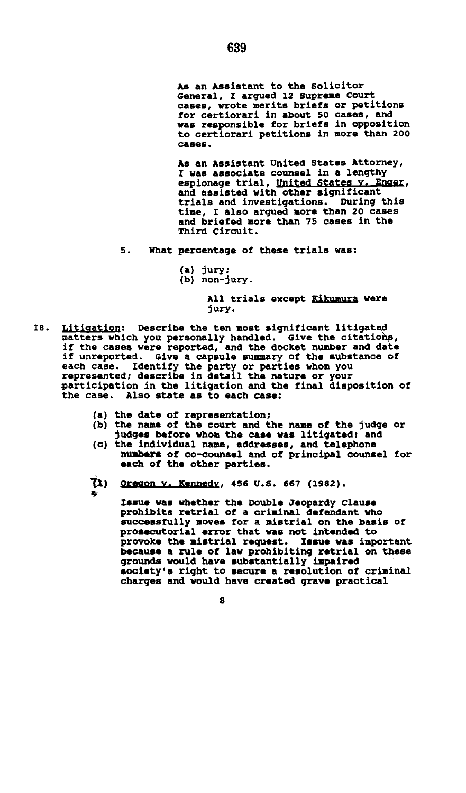**As an Assistant to the Solicitor General, I argued 12 Supreme Court cases, wrote merits briefs or petitions for certiorari in about 50 cases, and was responsible for briefs in opposition to certiorari petitions in more than 200 cases.** 

**As an Assistant United States Attorney, I was associate counsel in a lengthy espionage trial, united states v. Enaer. and assisted with other significant trials and investigations. During this time, I also argued more than 20 cases and briefed more than 75 cases in the Third Circuit.** 

- **5. What percentage of these trials was:** 
	- **(a) jury;**
	- **(b) non-jury.**

**All trials except Kikumura were jury.** 

- **18. Litigation; Describe the ten most significant litigated matters which you personally handled. Give the citations, if the cases were reported, and the docket number and date if unreported. Give a capsule summary of the substance of each case. Identify the party or parties whom you represented; describe in detail the nature or your participation in the litigation and the final disposition of the case. Also state as to each case:** 
	- **(a) the date of representation;**

**\*** 

- **(b) the name of the court and the name of the judge or judges before whom the case was litigated; and**
- **(c) the individual name, addresses, and telephone numbers of co-counsel and of principal counsel for each of the other parties.**
- *11)* **Oregon v. Kennedy. 456 U.S. 667 (1982).**

**Issue was whether the Double Jeopardy Clause prohibits retrial of a criminal defendant who successfully moves for a mistrial on the basis of prosecutorial error that was not intended to**  provoke the mistrial request. **because a rule of law prohibiting retrial on these grounds would have substantially impaired society's right to secure a resolution of criminal charges and would have created grave practical**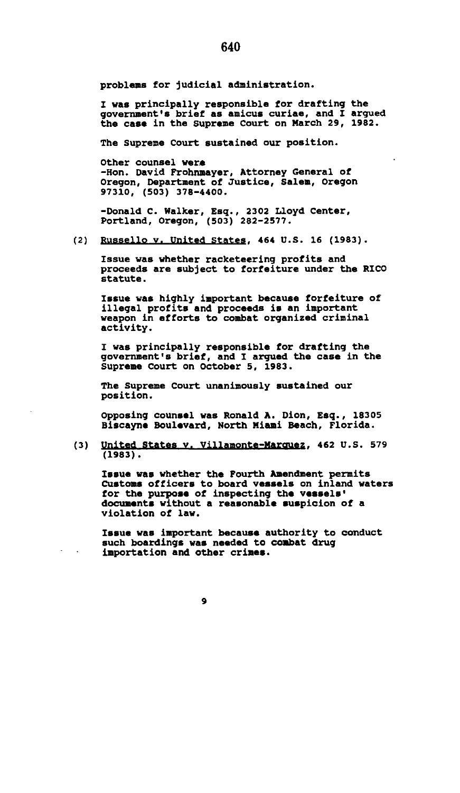**problems for judicial administration.** 

**I was principally responsible for drafting the government's brief as amicus curiae, and I argued the case in the Supreme Court on March 29, 1982.** 

**The Supreme Court sustained our position.** 

**Other counsel were -Hon. David Frohnmayer, Attorney General of Oregon, Department of Justice, Salem, Oregon 97310, (503) 378-4400.** 

**-Donald C. Walker, Esq., 2302 Lloyd Center, Portland, Oregon, (503) 282-2577.** 

**(2) Russello v. United States. 464 U.S. 16 (1983).** 

**Issue was whether racketeering profits and proceeds are subject to forfeiture under the RICO statute.** 

**Issue was highly important because forfeiture of illegal profits and proceeds is an important weapon in efforts to combat organized criminal activity.** 

**I was principally responsible for drafting the government's brief, and I argued the case in the Supreme Court on October 5, 1983.** 

**The Supreme Court unanimously sustained our position.** 

**Opposing counsel was Ronald A. Dion, Esq., 18305 Biscayne Boulevard, North Miami Beach, Florida.** 

**(3) United States v. Villamonte-Marouez. 462 U.S. 579 (1983).** 

**Issue was whether the Fourth Amendment permits Customs officers to board vessels on inland waters for the purpose of inspecting the vessels' documents without a reasonable suspicion of a violation of law.** 

**Issue was important because authority to conduct such boardings was needed to combat drug importation and other crimes.**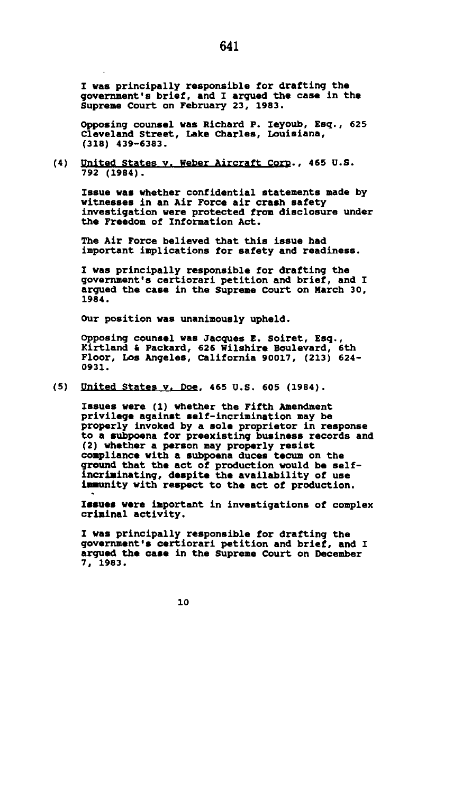**I was principally responsible for drafting the government's brief, and I argued the case in the Supreme Court on February 23, 1983.** 

**Opposing counsel was Richard P. Ieyoub, Esq., 625 Cleveland Street, Lake Charles, Louisiana, (318) 439-6383.** 

**(4) United States v. Weber Aircraft Corp.. 465 U.S. 792 (1984).** 

**Issue was whether confidential statements made by witnesses in an Air Force air crash safety investigation were protected from disclosure under the Freedom of Information Act.** 

**The Air Force believed that this issue had important implications for safety and readiness.** 

**I was principally responsible for drafting the government's certiorari petition and brief, and I argued the case in the Supreme Court on March 30, 1984.** 

**Our position was unanimously upheld.** 

**Opposing counsel was Jacques E. Soiret, Esq., Kirtland & Packard, 626 Wilshire Boulevard, 6th Floor, Los Angeles, California 90017, (213) 624- 0931.** 

**(5) United States v. Doe. 465 U.S. 605 (1984).** 

**Issues were (1) whether the Fifth Amendment privilege against self-incrimination may be properly invoked by a sole proprietor in response to a subpoena for preexisting business records and (2) whether a person may properly resist compliance with a subpoena duces tecum on the ground that the act of production would be self-incriminating, despite the availability of use immunity with respect to the act of production.** 

**Issues were important in investigations of complex criminal activity.** 

**I was principally responsible for drafting the government's certiorari petition and brief, and I argued the case in the Supreme Court on December 7, 1983.** 

641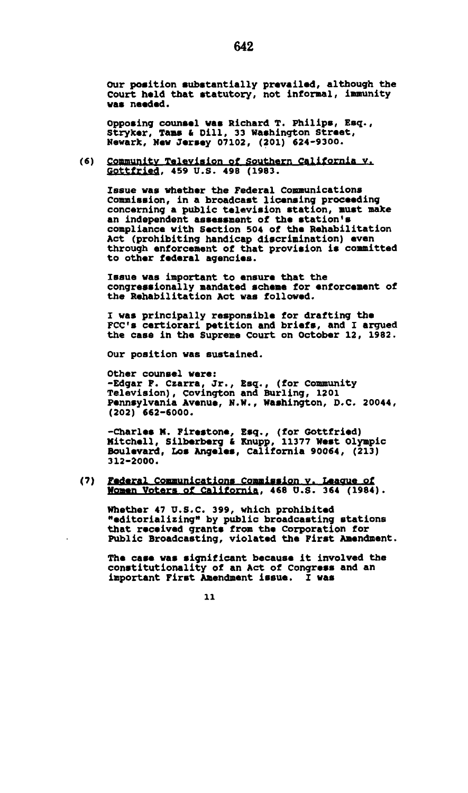**Our position substantially prevailed, although the Court held that statutory, not informal, immunity was needed.** 

**Opposing counsel vas Richard T. Philips, Esq., Stryker, Tarns & Dill, 33 Washington Street, Newark, New Jersey 07102, (201) 624-9300.** 

 $(6)$ **Community Television of Southern California v. Gpttfrjefl, 459 U.S. 498 (1983.** 

**Issue was whether the Federal Communications Commission, in a broadcast licensing proceeding concerning a public television station, must make an independent assessment of the station\*s compliance with Section 504 of the Rehabilitation Act (prohibiting handicap discrimination) even through enforcement of that provision is committed to other federal agencies.** 

**Issue was important to ensure that the congressionally mandated scheme for enforcement of the Rehabilitation Act was followed.** 

**I was principally responsible for drafting the FCC's certiorari petition and briefs, and I argued the case in the Supreme Court on October 12, 1982.** 

**Our position was sustained.** 

**Other counsel were: -Edgar F. Czarra, Jr., Esq., (for Community Television), Covington and Burling, 1201 Pennsylvania Avenue, N.H., Washington, D.C. 20044, (202) 662-6000.** 

**-Charles M. Firestone, Esq., (for Gottfried) Mitchell, Silberberg & Knupp, 11377 West Olympic Boulevard, Los Angeles, California 90064, (213) 312-2000.** 

#### $(7)$ **<u>rederal Communications Commission v. League of</u> Women Voters of California. 468 U.S. 364 (1984).**

**Whether 47 U.S.C. 399, which prohibited "editorializing" by public broadcasting stations that received grants from the Corporation for Public Broadcasting, violated the First Amendment.** 

**The case was significant because it involved the constitutionality of an Act of Congress and an important First Amendment issue. I was**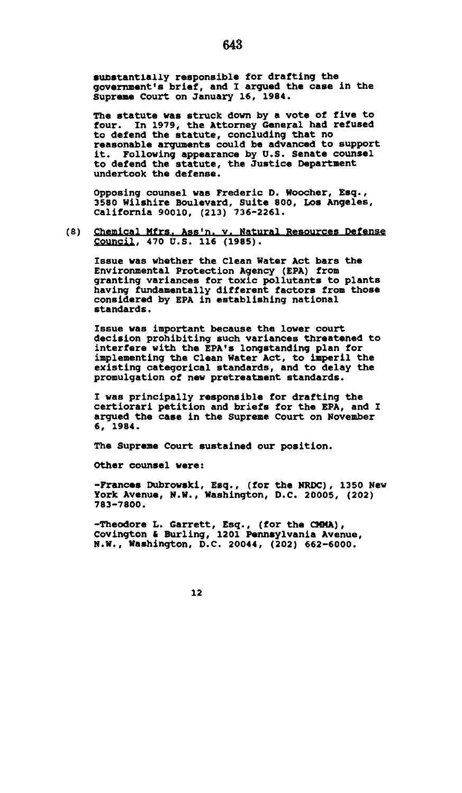**substantially responsible for drafting the government's brief, and I argued the case in the Supreme Court on January 16, 1984.** 

643

**The statute was struck down by a vote of five to four. In 1979, the Attorney General had refused to defend the statute, concluding that no reasonable arguments could be advanced to support it. Following appearance by U.S. Senate counsel to defend the statute, the Justice Department undertook the defense.** 

**Opposing counsel was Frederic D. Hoocher, Esq., 3580 Wilshire Boulevard, Suite 800, Los Angeles, California 90010, (213) 736-2261.** 

**(8) Chemical Mfrs. Ass'n. v. Natural Resources Defense SfiuncH, 470 U.S. 116 (1985).** 

**Issue was whether the Clean Water Act bars the Environmental Protection Agency (EPA) from granting variances for toxic pollutants to plants having fundamentally different factors from those considered by EPA in establishing national standards.** 

**Issue was important because the lower court decision prohibiting such variances threatened to interfere with the EPA's longstanding plan for implementing the Clean Water Act, to imperil the existing categorical standards, and to delay the promulgation of new pretreatment standards.** 

**I was principally responsible for drafting the certiorari petition and briefs for the EPA, and I argued the case in the Supreme Court on November 6, 1984.** 

**The Supreme Court sustained our position.** 

**Other counsel were:** 

**-Frances Dubrowski, Esq., (for the NRDC), 1350 New York Avenue, N.W., Washington, D.C. 20005, (202) 783-7800.** 

**-Theodore L. Garrett, Esq., (for the CNMA), Covington & Burling, 1201 Pennsylvania Avenue, N.W., Washington, D.C. 20044, (202) 662-6000.**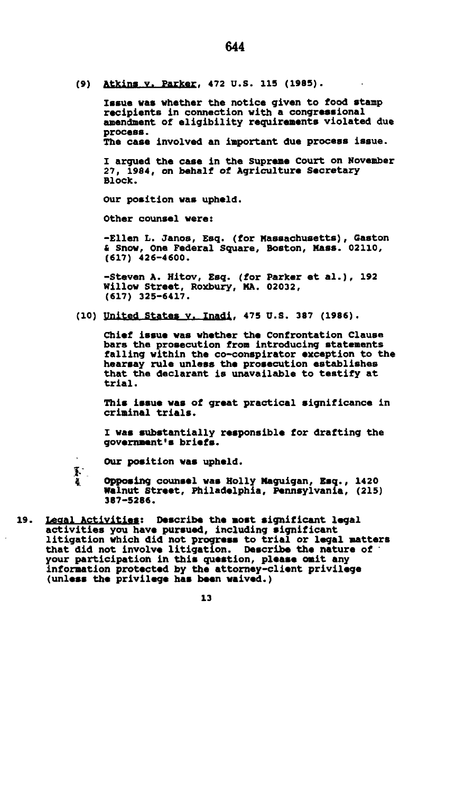**(9) AtKing Y. ParKer, 472 u.s. 115 (1985).** 

**Issue was whether the notice given to food stamp recipients in connection with a congressional amendment of eligibility requirements violated due process. The case involved an important due process issue.** 

**I argued the case in the Supreme Court on November 27, 1984, on behalf of Agriculture Secretary Block.** 

**Our position was upheld.** 

**Other counsel were:** 

**-Ellen L. Janos, Esq. (for Massachusetts), Gaston & Snow, One Federal Square, Boston, Mass. 02110, (617) 426-4600.** 

**-Steven A. Hitov, Esq. (for Parker et al.), 192 Willow Street, Roxbury, MA. 02032, (617) 325-6417.** 

**(io) United States v, madj, 475 u.s. 387 (1986).** 

**Chief issue was whether the Confrontation Clause bars the prosecution from introducing statements falling within the co-conspirator exception to the hearsay rule unless the prosecution establishes that the declarant is unavailable to testify at trial.** 

**This issue was of great practical significance in criminal trials.** 

**I was substantially responsible for drafting the government's briefs.** 

**Our position was upheld.** 

*V.* 

*i* **Opposing counsel was Holly Maguigan, Esq., 1420**  387-5286.

**387-5286. 19. Legal Activitiest Describe the most significant legal activities you have pursued, including significant litigation which did not progress to trial or legal matters that did not involve litigation. Describe the nature of ' your participation in this question, please omit any information protected by the attorney-client privilege (unless the privilege has been waived.)**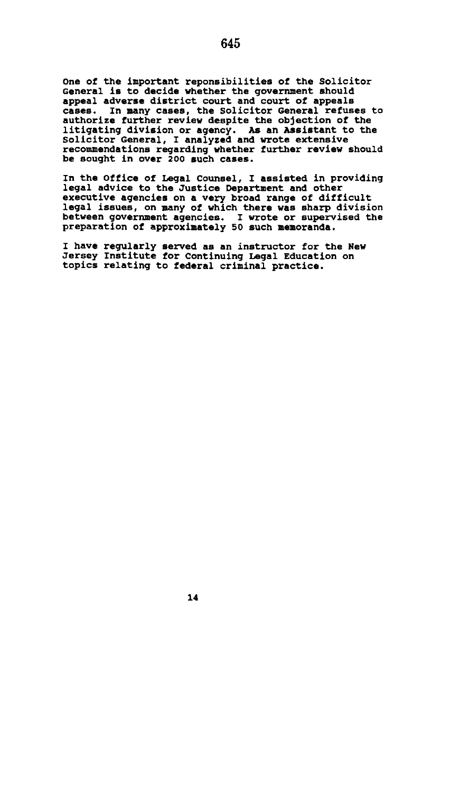**One of the important reponsibilities of the Solicitor General is to decide whether the government should appeal adverse district court and court of appeals cases. In many cases, the Solicitor General refuses to authorize further review despite the objection of the litigating division or agency. As an Assistant to the Solicitor General, I analyzed and wrote extensive recommendations regarding whether further review should be sought in over 200 such cases.** 

**In the Office of Legal Counsel, I assisted in providing legal advice to the Justice Department and other executive agencies on a very broad range of difficult legal issues, on many of which there was sharp division between government agencies. I wrote or supervised the preparation of approximately 50 such memoranda.** 

**I have regularly served as an instructor for the New Jersey Institute for Continuing Legal Education on topics relating to federal criminal practice.**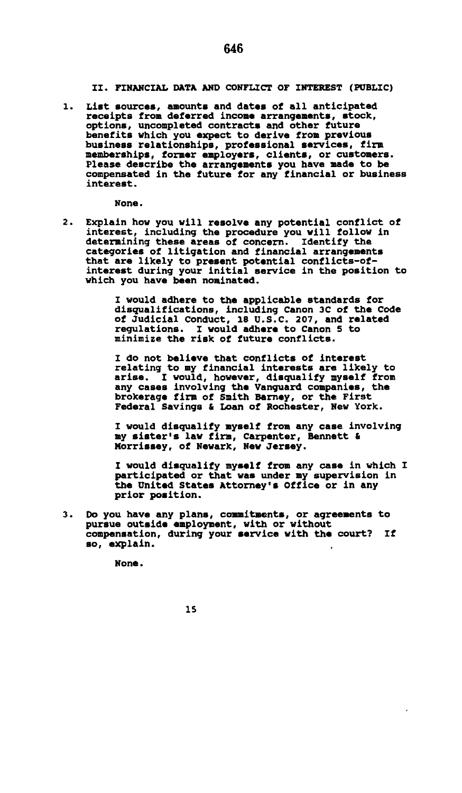**II. FINANCIAL DATA AND CONFLICT OF INTEREST (PUBLIC)** 

 $\overline{1}$ . **List sources, amounts and dates of all anticipated receipts from deferred income arrangements, stock, options, uncompleted contracts and other future benefits which you expect to derive from previous business relationships, professional services, firm memberships, former employers, clients, or customers. Please describe the arrangements you have made to be compensated in the future for any financial or business interest.** 

**None.** 

 $2.$ **Explain how you will resolve any potential conflict of interest, including the procedure you will follow in determining these areas of concern. Identify the categories of litigation and financial arrangements that are likely to present potential conflicts-ofinterest during your initial service in the position to which you have been nominated.** 

> **I would adhere to the applicable standards for disqualifications, including Canon 3C of the Code of Judicial Conduct, 18 U.S.C. 207, and related regulations. I would adhere to Canon 5 to minimize the risk of future conflicts.**

**I do not believe that conflicts of interest relating to my financial interests are likely to arise. I would, however, disqualify myself from any cases involving the Vanguard companies, the brokerage firm of Smith Barney, or the First Federal Savings & Loan of Rochester, New York.** 

**I would disqualify myself from any case involving my sister's law firm, Carpenter, Bennett & Morrissey, of Newark, New Jersey.** 

**I would disqualify myself from any case in which I participated or that was under my supervision in the United States Attorney's Office or in any prior position.** 

 $3 -$ **Do you have any plans, commitments, or agreements to pursue outside employment, with or without compensation, during your service with the court? If so, explain.** 

**None.**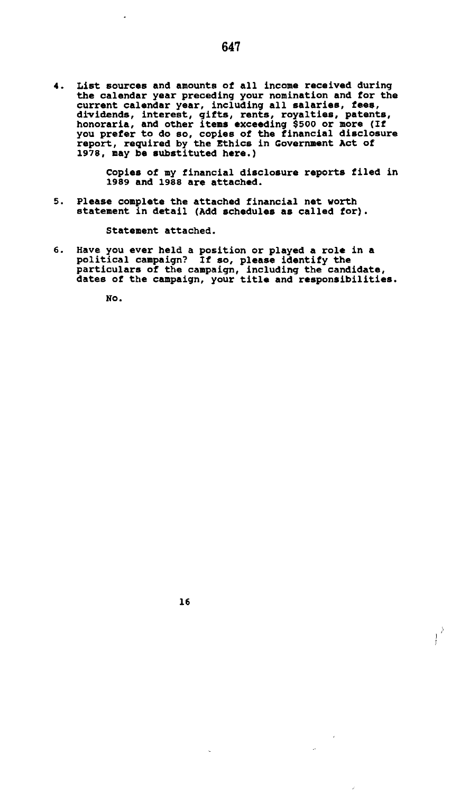4. List sources and amounts of all income received during<br>the calendar year preceding your nomination and for the<br>current calendar year, including all salaries, fees,<br>dividends, interest, gifts, rents, royalties, patents,<br>

**Copies of my financial disclosure reports filed in 1989 and 1988 are attached.** 

**5. Please complete the attached financial net worth statement in detail (Add schedules as called for).** 

**Statement attached.** 

**16** 

**6. Have you ever held a position or played a role in a political campaign? If so, please identify the particulars of the campaign, including the candidate, dates of the campaign, your title and responsibilities.** 

**No.** 

J,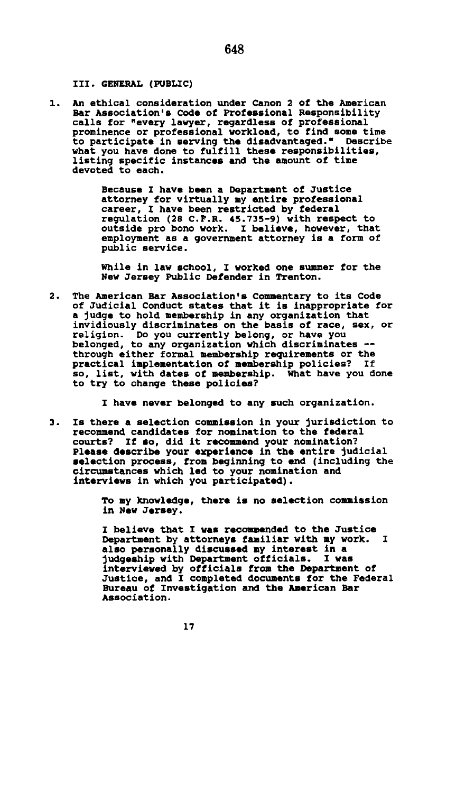#### **III. GENERAL (PUBLIC)**

**An ethical consideration under Canon 2 of the American**  1. **Bar Association's Code of Professional Responsibility calls for "every lawyer, regardless of professional prominence or professional workload, to find some time to participate in serving the disadvantaged." Describe what you have done to fulfill these responsibilities, listing specific instances and the amount of time devoted to each.** 

> **Because I have been a Department of Justice attorney for virtually my entire professional career, I have been restricted by federal regulation (28 C.P.R. 45.735-9) with respect to outside pro bono work. I believe, however, that employment as a government attorney is a form of public service.**

**While in law school, I worked one summer for the New Jersey Public Defender in Trenton.** 

 $2.$ **The American Bar Association's Commentary to its Code of Judicial Conduct states that it is inappropriate for a judge to hold membership in any organization that invidiously discriminates on the basis of race, sex, or religion. Do you currently belong, or have you belonged, to any organization which discriminates through either formal membership requirements or the practical implementation of membership policies? If so, list, with dates of membership. What have you done to try to change these policies?** 

**I have never belonged to any such organization.** 

**Is there a selection commission in your jurisdiction to**   $\mathbf{a}$ . **recommend candidates for nomination to the federal**  If so, did it recommend your nomination? **Please describe your experience in the entire judicial selection process, from beginning to end (including the circumstances which led to your nomination and interviews in which you participated).** 

> **To my knowledge, there is no selection commission in New Jersey.**

**I believe that I was recommended to the Justice**  Department by attorneys familiar with my work. **also personally discussed my interest in a judgeship with Department officials. I was interviewed by officials from the Department of Justice, and I completed documents for the Federal Bureau of Investigation and the American Bar Association.**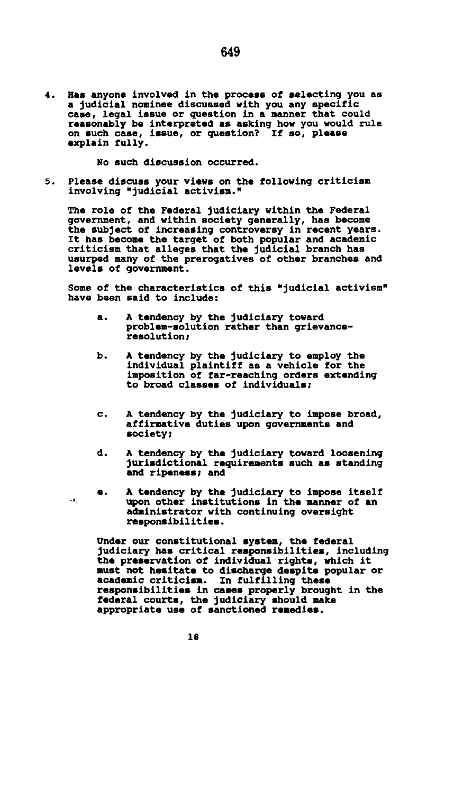**Has anyone involved in the process of selecting you as**  4. **a judicial nominee discussed with you any specific case, legal issue or question in a manner that could reasonably be interpreted as asking how you would rule on such case, issue, or question? If so, please explain fully.** 

**No such discussion occurred.** 

 $5.$ **Please discuss your views on the following criticism involving "judicial activism."** 

**The role of the Federal judiciary within the Federal government, and within society generally, has become the subject of increasing controversy in recent years. It has become the target of both popular and academic criticism that alleges that the judicial branch has usurped many of the prerogatives of other branches and levels of government.** 

**Some of the characteristics of this "judicial activism" have been said to include:** 

- **a. A tendency by the judiciary toward problem-solution rather than grievanceresolution;**
- **b. A tendency by the judiciary to employ the individual plaintiff as a vehicle for the imposition of far-reaching orders extending to broad classes of individuals;**
- **c. A tendency by the judiciary to impose broad, affirmative duties upon governments and society;**
- **d. A tendency by the judiciary toward loosening jurisdictional requirements such as standing and ripeness; and**
- **e. A tendency by the judiciary to impose itself upon other institutions in the manner of an administrator with continuing oversight responsibilities.**

**Under our constitutional system, the federal judiciary has critical responsibilities, including the preservation of individual rights, which it must not hesitate to discharge despite popular or academic criticism. In fulfilling these responsibilities in cases properly brought in the federal courts, the judiciary should make appropriate use of sanctioned remedies.** 

**18** 

 $\mathbf{r}$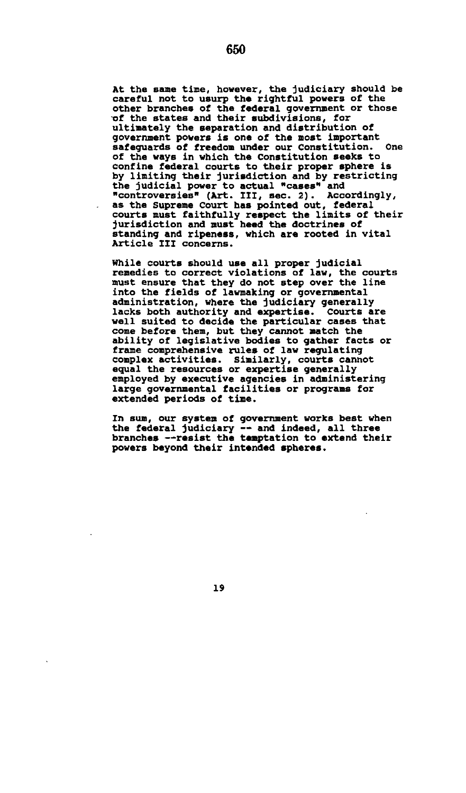**At the same time, however, the judiciary should be careful not to usurp the rightful powers of the other branches of the federal government or those -of the states and their subdivisions, for ultimately the separation and distribution of government powers is one of the most important safeguards of freedom under our Constitution. One of the ways in which the Constitution seeks to confine federal courts to their proper sphere is by limiting their jurisdiction and by restricting the judicial power to actual "cases" and "controversies" (Art. Ill, sec. 2). Accordingly, as the Supreme Court has pointed out, federal courts must faithfully respect the limits of their jurisdiction and must heed the doctrines of standing and ripeness, which are rooted in vital Article III concerns.** 

**While courts should use all proper judicial remedies to correct violations of law, the courts must ensure that they do not step over the line into the fields of lawmaking or governmental administration, where the judiciary generally lacks both authority and expertise. Courts are well suited to decide the particular cases that come before them, but they cannot match the ability of legislative bodies to gather facts or frame comprehensive rules of law regulating complex activities. Similarly, courts cannot equal the resources or expertise generally employed by executive agencies in administering large governmental facilities or programs for extended periods of time.** 

**In sum, our system of government works best when the federal judiciary — and indeed, all three branches —resist the temptation to extend their powers beyond their intended spheres.**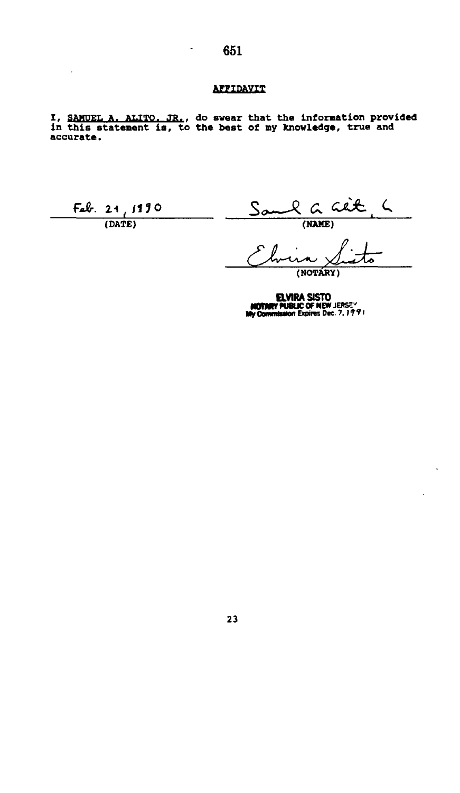×,

#### **AFFIDAVIT**

**I, SAMUEL A. ALITO. JR.. do swear that the information provided in this statement is, to the best of my knowledge, true and accurate.** 

 $\frac{F_{ab}R}{(DATE)}$   $\frac{S_{0}C_{ab}R_{ab}C_{ab}R_{ab}}{(NAME)}$  $S_{\infty}$ 

**(NOTARY)** 

**ELVIRA SISTO**<br>**MOTMRY PUBLIC OF NEW JERSE\***<br>My Commission Expires Dec. 7, 1991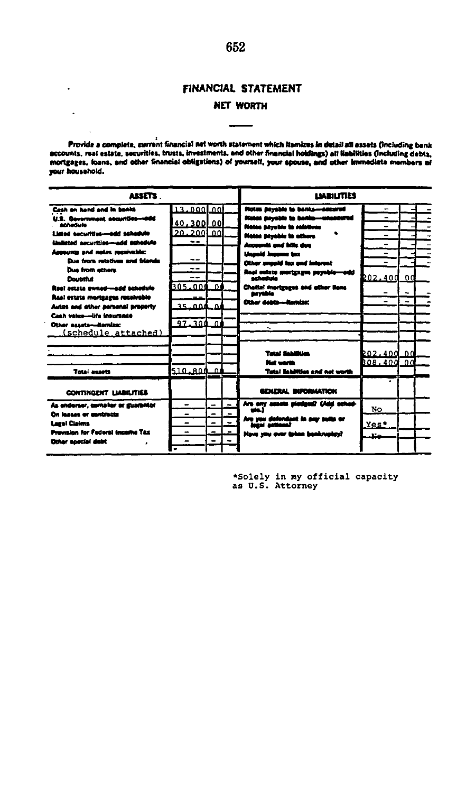#### **FINANCIAL STATEMENT**

 $\overline{a}$ 

 $\ddot{\phantom{a}}$ 

#### **NET WORTH**

Provide a complete, current financial net worth statement which Remizes in detail all assets (including bank<br>accounts, real estate, securities, trusts, investments, and other financial holdings) all liabilities (Including **your household.** 

| ASSETS                                |                          |                          |               | <b>LIARILITIES</b>                     |                |                          |  |  |
|---------------------------------------|--------------------------|--------------------------|---------------|----------------------------------------|----------------|--------------------------|--|--|
| Cash on hand and in henits            | $13.000$ 00              |                          |               | Notes payable to banks-account         | -              |                          |  |  |
| U.S. Gavernment accurities-odd        |                          |                          |               | <b>Notes anywhich in hords-weaven</b>  |                |                          |  |  |
| <b>Achadule</b>                       | 40,300 00                |                          |               | Notes payable to relatives             | -              |                          |  |  |
| Listed securities-add schedule        | 20,2001.00               |                          |               | <b>Notes payable to athors</b>         | -              |                          |  |  |
| Unlisted accurition-add schedule      |                          |                          |               | Accurate and latin due                 | -              |                          |  |  |
| <b>Accounts and notes receivable:</b> |                          |                          |               | يدن مصححين انتمعول                     | -              |                          |  |  |
| Dan from minitum and blands           | --                       |                          |               | Other smeald tax and laterest          |                |                          |  |  |
| <b>Due from athens</b>                | --                       |                          |               | Real estate merigages payable-add      |                |                          |  |  |
| <b>Countries</b>                      | --                       |                          |               | متعاصدته                               | 202.40d        | 0d                       |  |  |
| Real estate sweed-add achedulo        | BOS.OOO 01               |                          |               | Chettel mortgages and other lions      |                | $\overline{\phantom{a}}$ |  |  |
| Real estate mortasges recaivable      |                          |                          |               | anvidio<br>Other debts---Berniza:      | $\overline{a}$ | -                        |  |  |
| Autos and other sersonal property     | 35.OOA                   | $\Delta$                 |               |                                        |                |                          |  |  |
| Cash value-life insurance             |                          |                          |               |                                        |                |                          |  |  |
| Other susta-Remize:                   | 97.300 OI                |                          |               |                                        |                |                          |  |  |
| (schedule attached)                   |                          |                          |               |                                        |                |                          |  |  |
|                                       |                          |                          |               |                                        |                |                          |  |  |
|                                       |                          |                          |               | <b>Turni Schiffing</b>                 | 202,400 00     |                          |  |  |
|                                       |                          |                          |               | <b>But worth</b>                       | B08.400        | 00                       |  |  |
| Total assets                          | 510.800 01               |                          |               | <b>Tatal liabilities and net worth</b> |                |                          |  |  |
| <b>CONTINGENT LIABILITIES</b>         |                          |                          |               | GENERAL INFORMATION                    |                |                          |  |  |
| As enderser, complex or guaranter     | $\overline{\phantom{0}}$ | ÷                        | $\rightarrow$ | Are any season piedged? Until school   | No.            |                          |  |  |
| <b>On leases or medration</b>         | $\blacksquare$           | $\equiv$                 |               |                                        |                |                          |  |  |
| <b>Lacel Claims</b>                   |                          | $\equiv$                 |               | Are you defendant in any suits or      | Yes*           |                          |  |  |
| Provoinc for Federal Incente Tax      |                          | -                        |               | How you over taken benkneder!          | $17 -$         |                          |  |  |
| Other special date                    |                          | $\overline{\phantom{0}}$ |               |                                        |                |                          |  |  |
|                                       |                          |                          |               |                                        |                |                          |  |  |

**•Solely in my official capacity as U.S. Attorney**